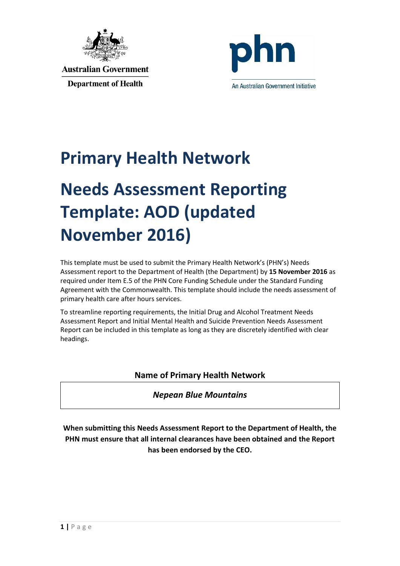



## **Primary Health Network**

# **Needs Assessment Reporting Template: AOD (updated November 2016)**

This template must be used to submit the Primary Health Network's (PHN's) Needs Assessment report to the Department of Health (the Department) by **15 November 2016** as required under Item E.5 of the PHN Core Funding Schedule under the Standard Funding Agreement with the Commonwealth. This template should include the needs assessment of primary health care after hours services.

To streamline reporting requirements, the Initial Drug and Alcohol Treatment Needs Assessment Report and Initial Mental Health and Suicide Prevention Needs Assessment Report can be included in this template as long as they are discretely identified with clear headings.

#### **Name of Primary Health Network**

#### *Nepean Blue Mountains*

**When submitting this Needs Assessment Report to the Department of Health, the PHN must ensure that all internal clearances have been obtained and the Report has been endorsed by the CEO.**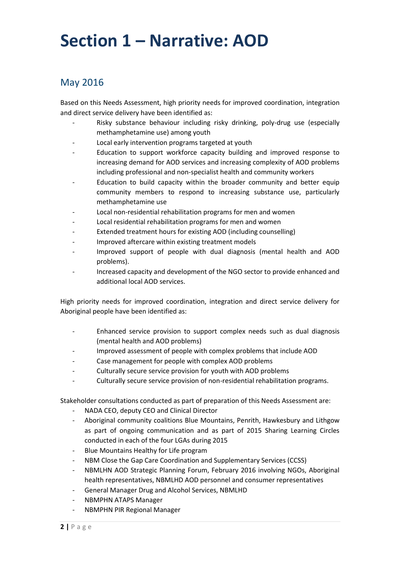### **Section 1 – Narrative: AOD**

### May 2016

Based on this Needs Assessment, high priority needs for improved coordination, integration and direct service delivery have been identified as:

- Risky substance behaviour including risky drinking, poly-drug use (especially methamphetamine use) among youth
- Local early intervention programs targeted at youth
- Education to support workforce capacity building and improved response to increasing demand for AOD services and increasing complexity of AOD problems including professional and non-specialist health and community workers
- Education to build capacity within the broader community and better equip community members to respond to increasing substance use, particularly methamphetamine use
- Local non-residential rehabilitation programs for men and women
- Local residential rehabilitation programs for men and women
- Extended treatment hours for existing AOD (including counselling)
- Improved aftercare within existing treatment models
- Improved support of people with dual diagnosis (mental health and AOD problems).
- Increased capacity and development of the NGO sector to provide enhanced and additional local AOD services.

High priority needs for improved coordination, integration and direct service delivery for Aboriginal people have been identified as:

- Enhanced service provision to support complex needs such as dual diagnosis (mental health and AOD problems)
- Improved assessment of people with complex problems that include AOD
- Case management for people with complex AOD problems
- Culturally secure service provision for youth with AOD problems
- Culturally secure service provision of non-residential rehabilitation programs.

Stakeholder consultations conducted as part of preparation of this Needs Assessment are:

- NADA CEO, deputy CEO and Clinical Director
- Aboriginal community coalitions Blue Mountains, Penrith, Hawkesbury and Lithgow as part of ongoing communication and as part of 2015 Sharing Learning Circles conducted in each of the four LGAs during 2015
- Blue Mountains Healthy for Life program
- NBM Close the Gap Care Coordination and Supplementary Services (CCSS)
- NBMLHN AOD Strategic Planning Forum, February 2016 involving NGOs, Aboriginal health representatives, NBMLHD AOD personnel and consumer representatives
- General Manager Drug and Alcohol Services, NBMLHD
- NBMPHN ATAPS Manager
- NBMPHN PIR Regional Manager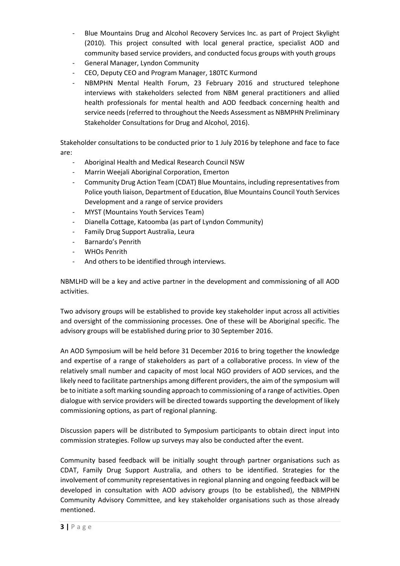- Blue Mountains Drug and Alcohol Recovery Services Inc. as part of Project Skylight (2010). This project consulted with local general practice, specialist AOD and community based service providers, and conducted focus groups with youth groups
- General Manager, Lyndon Community
- CEO, Deputy CEO and Program Manager, 180TC Kurmond
- NBMPHN Mental Health Forum, 23 February 2016 and structured telephone interviews with stakeholders selected from NBM general practitioners and allied health professionals for mental health and AOD feedback concerning health and service needs (referred to throughout the Needs Assessment as NBMPHN Preliminary Stakeholder Consultations for Drug and Alcohol, 2016).

Stakeholder consultations to be conducted prior to 1 July 2016 by telephone and face to face are:

- Aboriginal Health and Medical Research Council NSW
- Marrin Weejali Aboriginal Corporation, Emerton
- Community Drug Action Team (CDAT) Blue Mountains, including representatives from Police youth liaison, Department of Education, Blue Mountains Council Youth Services Development and a range of service providers
- MYST (Mountains Youth Services Team)
- Dianella Cottage, Katoomba (as part of Lyndon Community)
- Family Drug Support Australia, Leura
- Barnardo's Penrith
- WHOs Penrith
- And others to be identified through interviews.

NBMLHD will be a key and active partner in the development and commissioning of all AOD activities.

Two advisory groups will be established to provide key stakeholder input across all activities and oversight of the commissioning processes. One of these will be Aboriginal specific. The advisory groups will be established during prior to 30 September 2016.

An AOD Symposium will be held before 31 December 2016 to bring together the knowledge and expertise of a range of stakeholders as part of a collaborative process. In view of the relatively small number and capacity of most local NGO providers of AOD services, and the likely need to facilitate partnerships among different providers, the aim of the symposium will be to initiate a soft marking sounding approach to commissioning of a range of activities. Open dialogue with service providers will be directed towards supporting the development of likely commissioning options, as part of regional planning.

Discussion papers will be distributed to Symposium participants to obtain direct input into commission strategies. Follow up surveys may also be conducted after the event.

Community based feedback will be initially sought through partner organisations such as CDAT, Family Drug Support Australia, and others to be identified. Strategies for the involvement of community representatives in regional planning and ongoing feedback will be developed in consultation with AOD advisory groups (to be established), the NBMPHN Community Advisory Committee, and key stakeholder organisations such as those already mentioned.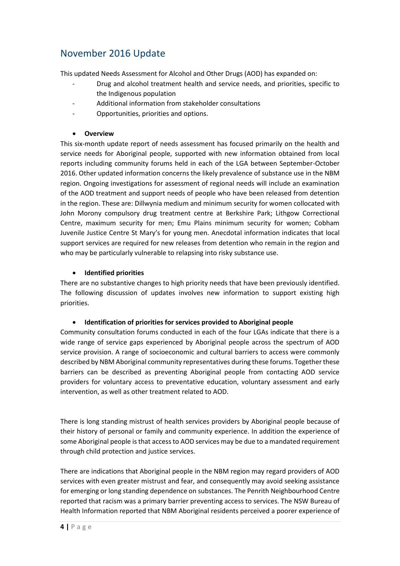### November 2016 Update

This updated Needs Assessment for Alcohol and Other Drugs (AOD) has expanded on:

- Drug and alcohol treatment health and service needs, and priorities, specific to the Indigenous population
- Additional information from stakeholder consultations
- Opportunities, priorities and options.

#### **Overview**

This six-month update report of needs assessment has focused primarily on the health and service needs for Aboriginal people, supported with new information obtained from local reports including community forums held in each of the LGA between September-October 2016. Other updated information concerns the likely prevalence of substance use in the NBM region. Ongoing investigations for assessment of regional needs will include an examination of the AOD treatment and support needs of people who have been released from detention in the region. These are: Dillwynia medium and minimum security for women collocated with John Morony compulsory drug treatment centre at Berkshire Park; Lithgow Correctional Centre, maximum security for men; Emu Plains minimum security for women; Cobham Juvenile Justice Centre St Mary's for young men. Anecdotal information indicates that local support services are required for new releases from detention who remain in the region and who may be particularly vulnerable to relapsing into risky substance use.

#### **Identified priorities**

There are no substantive changes to high priority needs that have been previously identified. The following discussion of updates involves new information to support existing high priorities.

#### **Identification of priorities for services provided to Aboriginal people**

Community consultation forums conducted in each of the four LGAs indicate that there is a wide range of service gaps experienced by Aboriginal people across the spectrum of AOD service provision. A range of socioeconomic and cultural barriers to access were commonly described by NBM Aboriginal community representatives during these forums. Together these barriers can be described as preventing Aboriginal people from contacting AOD service providers for voluntary access to preventative education, voluntary assessment and early intervention, as well as other treatment related to AOD.

There is long standing mistrust of health services providers by Aboriginal people because of their history of personal or family and community experience. In addition the experience of some Aboriginal people is that access to AOD services may be due to a mandated requirement through child protection and justice services.

There are indications that Aboriginal people in the NBM region may regard providers of AOD services with even greater mistrust and fear, and consequently may avoid seeking assistance for emerging or long standing dependence on substances. The Penrith Neighbourhood Centre reported that racism was a primary barrier preventing access to services. The NSW Bureau of Health Information reported that NBM Aboriginal residents perceived a poorer experience of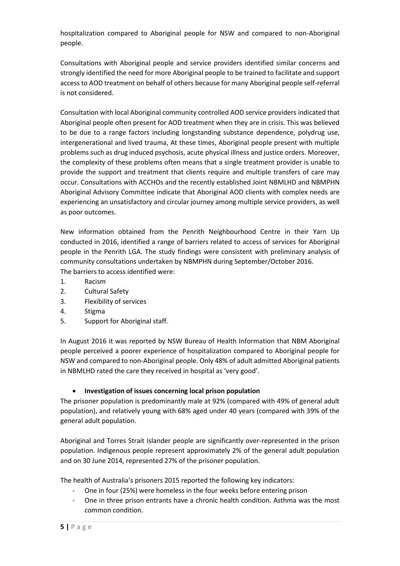hospitalization compared to Aboriginal people for NSW and compared to non-Aboriginal people.

Consultations with Aboriginal people and service providers identified similar concerns and strongly identified the need for more Aboriginal people to be trained to facilitate and support access to AOD treatment on behalf of others because for many Aboriginal people self-referral is not considered.

Consultation with local Aboriginal community controlled AOD service providers indicated that Aboriginal people often present for AOD treatment when they are in crisis. This was believed to be due to a range factors including longstanding substance dependence, polydrug use, intergenerational and lived trauma, At these times, Aboriginal people present with multiple problems such as drug induced psychosis, acute physical illness and justice orders. Moreover, the complexity of these problems often means that a single treatment provider is unable to provide the support and treatment that clients require and multiple transfers of care may occur. Consultations with ACCHOs and the recently established Joint NBMLHD and NBMPHN Aboriginal Advisory Committee indicate that Aboriginal AOD clients with complex needs are experiencing an unsatisfactory and circular journey among multiple service providers, as well as poor outcomes.

New information obtained from the Penrith Neighbourhood Centre in their Yarn Up conducted in 2016, identified a range of barriers related to access of services for Aboriginal people in the Penrith LGA. The study findings were consistent with preliminary analysis of community consultations undertaken by NBMPHN during September/October 2016. The barriers to access identified were:

- 1. Racism
- 2. Cultural Safety
- 3. Flexibility of services
- 4. Stigma
- 5. Support for Aboriginal staff.

In August 2016 it was reported by NSW Bureau of Health Information that NBM Aboriginal people perceived a poorer experience of hospitalization compared to Aboriginal people for NSW and compared to non-Aboriginal people. Only 48% of adult admitted Aboriginal patients in NBMLHD rated the care they received in hospital as 'very good'.

#### **Investigation of issues concerning local prison population**

The prisoner population is predominantly male at 92% (compared with 49% of general adult population), and relatively young with 68% aged under 40 years (compared with 39% of the general adult population.

Aboriginal and Torres Strait Islander people are significantly over-represented in the prison population. Indigenous people represent approximately 2% of the general adult population and on 30 June 2014, represented 27% of the prisoner population.

The health of Australia's prisoners 2015 reported the following key indicators:

- One in four (25%) were homeless in the four weeks before entering prison
- One in three prison entrants have a chronic health condition. Asthma was the most common condition.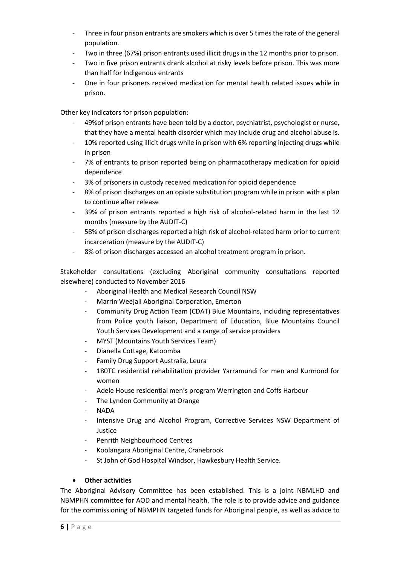- Three in four prison entrants are smokers which is over 5 times the rate of the general population.
- Two in three (67%) prison entrants used illicit drugs in the 12 months prior to prison.
- Two in five prison entrants drank alcohol at risky levels before prison. This was more than half for Indigenous entrants
- One in four prisoners received medication for mental health related issues while in prison.

Other key indicators for prison population:

- 49%of prison entrants have been told by a doctor, psychiatrist, psychologist or nurse, that they have a mental health disorder which may include drug and alcohol abuse is.
- 10% reported using illicit drugs while in prison with 6% reporting injecting drugs while in prison
- 7% of entrants to prison reported being on pharmacotherapy medication for opioid dependence
- 3% of prisoners in custody received medication for opioid dependence
- 8% of prison discharges on an opiate substitution program while in prison with a plan to continue after release
- 39% of prison entrants reported a high risk of alcohol-related harm in the last 12 months (measure by the AUDIT-C)
- 58% of prison discharges reported a high risk of alcohol-related harm prior to current incarceration (measure by the AUDIT-C)
- 8% of prison discharges accessed an alcohol treatment program in prison.

Stakeholder consultations (excluding Aboriginal community consultations reported elsewhere) conducted to November 2016

- Aboriginal Health and Medical Research Council NSW
- Marrin Weejali Aboriginal Corporation, Emerton
- Community Drug Action Team (CDAT) Blue Mountains, including representatives from Police youth liaison, Department of Education, Blue Mountains Council Youth Services Development and a range of service providers
- MYST (Mountains Youth Services Team)
- Dianella Cottage, Katoomba
- Family Drug Support Australia, Leura
- 180TC residential rehabilitation provider Yarramundi for men and Kurmond for women
- Adele House residential men's program Werrington and Coffs Harbour
- The Lyndon Community at Orange
- NADA
- Intensive Drug and Alcohol Program, Corrective Services NSW Department of Justice
- Penrith Neighbourhood Centres
- Koolangara Aboriginal Centre, Cranebrook
- St John of God Hospital Windsor, Hawkesbury Health Service.

#### **Other activities**

The Aboriginal Advisory Committee has been established. This is a joint NBMLHD and NBMPHN committee for AOD and mental health. The role is to provide advice and guidance for the commissioning of NBMPHN targeted funds for Aboriginal people, as well as advice to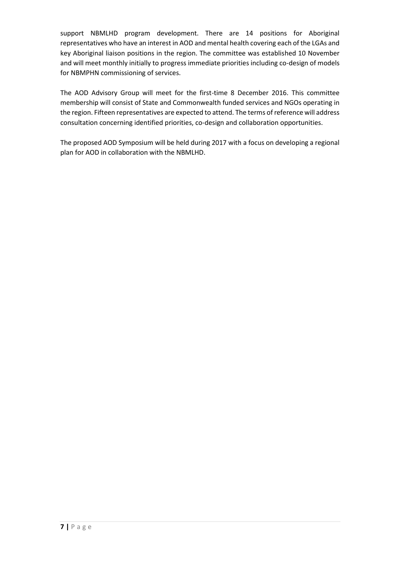support NBMLHD program development. There are 14 positions for Aboriginal representatives who have an interest in AOD and mental health covering each of the LGAs and key Aboriginal liaison positions in the region. The committee was established 10 November and will meet monthly initially to progress immediate priorities including co-design of models for NBMPHN commissioning of services.

The AOD Advisory Group will meet for the first-time 8 December 2016. This committee membership will consist of State and Commonwealth funded services and NGOs operating in the region. Fifteen representatives are expected to attend. The terms of reference will address consultation concerning identified priorities, co-design and collaboration opportunities.

The proposed AOD Symposium will be held during 2017 with a focus on developing a regional plan for AOD in collaboration with the NBMLHD.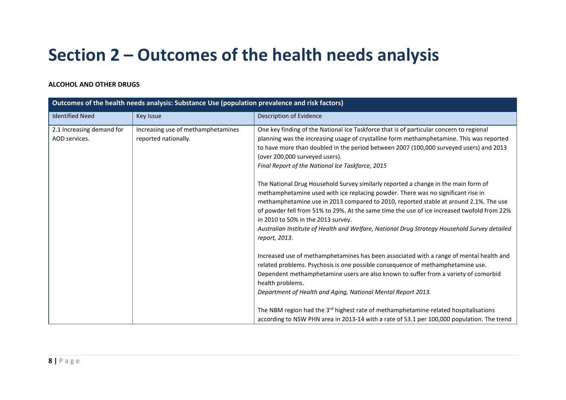## **Section 2 – Outcomes of the health needs analysis**

#### **ALCOHOL AND OTHER DRUGS**

| Outcomes of the health needs analysis: Substance Use (population prevalence and risk factors) |                                                            |                                                                                                                                                                                                                                                                                                                                                                                                                                                                                                                                                                                                                                        |
|-----------------------------------------------------------------------------------------------|------------------------------------------------------------|----------------------------------------------------------------------------------------------------------------------------------------------------------------------------------------------------------------------------------------------------------------------------------------------------------------------------------------------------------------------------------------------------------------------------------------------------------------------------------------------------------------------------------------------------------------------------------------------------------------------------------------|
| <b>Identified Need</b>                                                                        | Key Issue                                                  | Description of Evidence                                                                                                                                                                                                                                                                                                                                                                                                                                                                                                                                                                                                                |
| 2.1 Increasing demand for<br>AOD services.                                                    | Increasing use of methamphetamines<br>reported nationally. | One key finding of the National Ice Taskforce that is of particular concern to regional<br>planning was the increasing usage of crystalline form methamphetamine. This was reported<br>to have more than doubled in the period between 2007 (100,000 surveyed users) and 2013<br>(over 200,000 surveyed users).<br>Final Report of the National Ice Taskforce, 2015<br>The National Drug Household Survey similarly reported a change in the main form of<br>methamphetamine used with ice replacing powder. There was no significant rise in<br>methamphetamine use in 2013 compared to 2010, reported stable at around 2.1%. The use |
|                                                                                               |                                                            | of powder fell from 51% to 29%. At the same time the use of ice increased twofold from 22%<br>in 2010 to 50% in the 2013 survey.<br>Australian Institute of Health and Welfare, National Drug Strategy Household Survey detailed<br>report, 2013.                                                                                                                                                                                                                                                                                                                                                                                      |
|                                                                                               |                                                            | Increased use of methamphetamines has been associated with a range of mental health and<br>related problems. Psychosis is one possible consequence of methamphetamine use.<br>Dependent methamphetamine users are also known to suffer from a variety of comorbid<br>health problems.<br>Department of Health and Aging, National Mental Report 2013.                                                                                                                                                                                                                                                                                  |
|                                                                                               |                                                            | The NBM region had the 3 <sup>rd</sup> highest rate of methamphetamine-related hospitalisations<br>according to NSW PHN area in 2013-14 with a rate of 53.1 per 100,000 population. The trend                                                                                                                                                                                                                                                                                                                                                                                                                                          |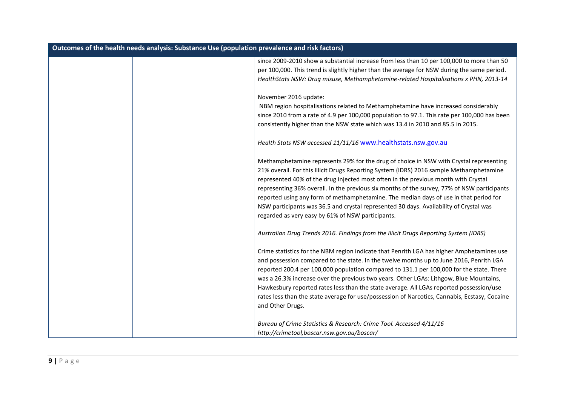| Outcomes of the health needs analysis: Substance Use (population prevalence and risk factors) |                                                                                               |
|-----------------------------------------------------------------------------------------------|-----------------------------------------------------------------------------------------------|
|                                                                                               | since 2009-2010 show a substantial increase from less than 10 per 100,000 to more than 50     |
|                                                                                               | per 100,000. This trend is slightly higher than the average for NSW during the same period.   |
|                                                                                               | HealthStats NSW: Drug misuse, Methamphetamine-related Hospitalisations x PHN, 2013-14         |
|                                                                                               | November 2016 update:                                                                         |
|                                                                                               | NBM region hospitalisations related to Methamphetamine have increased considerably            |
|                                                                                               | since 2010 from a rate of 4.9 per 100,000 population to 97.1. This rate per 100,000 has been  |
|                                                                                               | consistently higher than the NSW state which was 13.4 in 2010 and 85.5 in 2015.               |
|                                                                                               | Health Stats NSW accessed 11/11/16 www.healthstats.nsw.gov.au                                 |
|                                                                                               | Methamphetamine represents 29% for the drug of choice in NSW with Crystal representing        |
|                                                                                               | 21% overall. For this Illicit Drugs Reporting System (IDRS) 2016 sample Methamphetamine       |
|                                                                                               | represented 40% of the drug injected most often in the previous month with Crystal            |
|                                                                                               | representing 36% overall. In the previous six months of the survey, 77% of NSW participants   |
|                                                                                               | reported using any form of methamphetamine. The median days of use in that period for         |
|                                                                                               | NSW participants was 36.5 and crystal represented 30 days. Availability of Crystal was        |
|                                                                                               | regarded as very easy by 61% of NSW participants.                                             |
|                                                                                               | Australian Drug Trends 2016. Findings from the Illicit Drugs Reporting System (IDRS)          |
|                                                                                               | Crime statistics for the NBM region indicate that Penrith LGA has higher Amphetamines use     |
|                                                                                               | and possession compared to the state. In the twelve months up to June 2016, Penrith LGA       |
|                                                                                               | reported 200.4 per 100,000 population compared to 131.1 per 100,000 for the state. There      |
|                                                                                               | was a 26.3% increase over the previous two years. Other LGAs: Lithgow, Blue Mountains,        |
|                                                                                               | Hawkesbury reported rates less than the state average. All LGAs reported possession/use       |
|                                                                                               | rates less than the state average for use/possession of Narcotics, Cannabis, Ecstasy, Cocaine |
|                                                                                               | and Other Drugs.                                                                              |
|                                                                                               | Bureau of Crime Statistics & Research: Crime Tool. Accessed 4/11/16                           |
|                                                                                               | http://crimetool,boscar.nsw.gov.au/boscar/                                                    |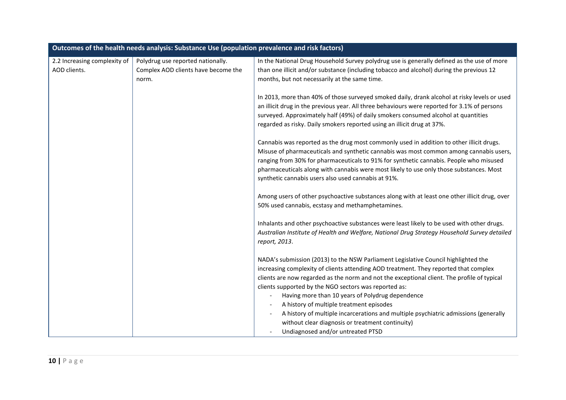| Outcomes of the health needs analysis: Substance Use (population prevalence and risk factors) |                                     |                                                                                               |
|-----------------------------------------------------------------------------------------------|-------------------------------------|-----------------------------------------------------------------------------------------------|
| 2.2 Increasing complexity of                                                                  | Polydrug use reported nationally.   | In the National Drug Household Survey polydrug use is generally defined as the use of more    |
| AOD clients.                                                                                  | Complex AOD clients have become the | than one illicit and/or substance (including tobacco and alcohol) during the previous 12      |
|                                                                                               | norm.                               | months, but not necessarily at the same time.                                                 |
|                                                                                               |                                     |                                                                                               |
|                                                                                               |                                     | In 2013, more than 40% of those surveyed smoked daily, drank alcohol at risky levels or used  |
|                                                                                               |                                     | an illicit drug in the previous year. All three behaviours were reported for 3.1% of persons  |
|                                                                                               |                                     | surveyed. Approximately half (49%) of daily smokers consumed alcohol at quantities            |
|                                                                                               |                                     | regarded as risky. Daily smokers reported using an illicit drug at 37%.                       |
|                                                                                               |                                     | Cannabis was reported as the drug most commonly used in addition to other illicit drugs.      |
|                                                                                               |                                     | Misuse of pharmaceuticals and synthetic cannabis was most common among cannabis users,        |
|                                                                                               |                                     | ranging from 30% for pharmaceuticals to 91% for synthetic cannabis. People who misused        |
|                                                                                               |                                     | pharmaceuticals along with cannabis were most likely to use only those substances. Most       |
|                                                                                               |                                     | synthetic cannabis users also used cannabis at 91%.                                           |
|                                                                                               |                                     | Among users of other psychoactive substances along with at least one other illicit drug, over |
|                                                                                               |                                     | 50% used cannabis, ecstasy and methamphetamines.                                              |
|                                                                                               |                                     |                                                                                               |
|                                                                                               |                                     | Inhalants and other psychoactive substances were least likely to be used with other drugs.    |
|                                                                                               |                                     | Australian Institute of Health and Welfare, National Drug Strategy Household Survey detailed  |
|                                                                                               |                                     | report, 2013.                                                                                 |
|                                                                                               |                                     | NADA's submission (2013) to the NSW Parliament Legislative Council highlighted the            |
|                                                                                               |                                     | increasing complexity of clients attending AOD treatment. They reported that complex          |
|                                                                                               |                                     | clients are now regarded as the norm and not the exceptional client. The profile of typical   |
|                                                                                               |                                     | clients supported by the NGO sectors was reported as:                                         |
|                                                                                               |                                     | Having more than 10 years of Polydrug dependence                                              |
|                                                                                               |                                     | A history of multiple treatment episodes                                                      |
|                                                                                               |                                     | A history of multiple incarcerations and multiple psychiatric admissions (generally           |
|                                                                                               |                                     | without clear diagnosis or treatment continuity)                                              |
|                                                                                               |                                     | Undiagnosed and/or untreated PTSD                                                             |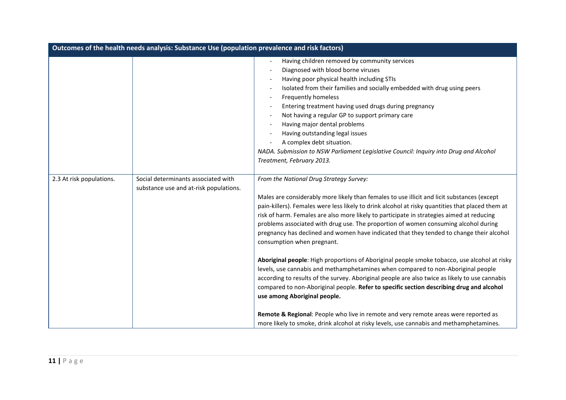| Outcomes of the health needs analysis: Substance Use (population prevalence and risk factors) |                                                                               |                                                                                                                                                                                                                                                                                                                                                                                                                                                                                                                                                                                                                                                                                                                                                                                                                                                                                                                                                                                                                                                                                                                                                              |
|-----------------------------------------------------------------------------------------------|-------------------------------------------------------------------------------|--------------------------------------------------------------------------------------------------------------------------------------------------------------------------------------------------------------------------------------------------------------------------------------------------------------------------------------------------------------------------------------------------------------------------------------------------------------------------------------------------------------------------------------------------------------------------------------------------------------------------------------------------------------------------------------------------------------------------------------------------------------------------------------------------------------------------------------------------------------------------------------------------------------------------------------------------------------------------------------------------------------------------------------------------------------------------------------------------------------------------------------------------------------|
|                                                                                               |                                                                               | Having children removed by community services<br>Diagnosed with blood borne viruses<br>Having poor physical health including STIs<br>Isolated from their families and socially embedded with drug using peers<br>$\overline{\phantom{a}}$<br>Frequently homeless<br>$\overline{\phantom{a}}$<br>Entering treatment having used drugs during pregnancy<br>Not having a regular GP to support primary care<br>Having major dental problems<br>$\overline{\phantom{a}}$<br>Having outstanding legal issues<br>A complex debt situation.<br>NADA. Submission to NSW Parliament Legislative Council: Inquiry into Drug and Alcohol<br>Treatment, February 2013.                                                                                                                                                                                                                                                                                                                                                                                                                                                                                                   |
| 2.3 At risk populations.                                                                      | Social determinants associated with<br>substance use and at-risk populations. | From the National Drug Strategy Survey:<br>Males are considerably more likely than females to use illicit and licit substances (except<br>pain-killers). Females were less likely to drink alcohol at risky quantities that placed them at<br>risk of harm. Females are also more likely to participate in strategies aimed at reducing<br>problems associated with drug use. The proportion of women consuming alcohol during<br>pregnancy has declined and women have indicated that they tended to change their alcohol<br>consumption when pregnant.<br>Aboriginal people: High proportions of Aboriginal people smoke tobacco, use alcohol at risky<br>levels, use cannabis and methamphetamines when compared to non-Aboriginal people<br>according to results of the survey. Aboriginal people are also twice as likely to use cannabis<br>compared to non-Aboriginal people. Refer to specific section describing drug and alcohol<br>use among Aboriginal people.<br>Remote & Regional: People who live in remote and very remote areas were reported as<br>more likely to smoke, drink alcohol at risky levels, use cannabis and methamphetamines. |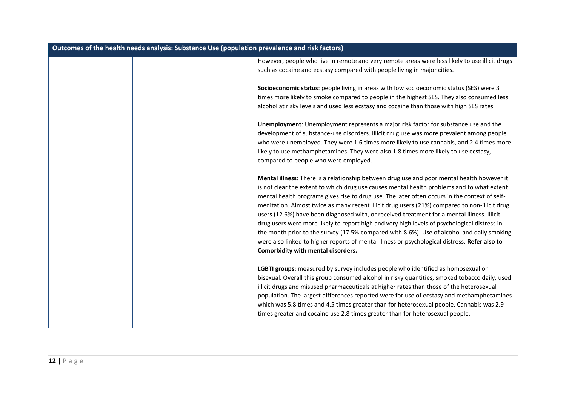| Outcomes of the health needs analysis: Substance Use (population prevalence and risk factors) |                                                                                                                                                                                                                                                                                                                                                                                                                                                                                                                                                                                                                                                                                                                                                                                                                                |
|-----------------------------------------------------------------------------------------------|--------------------------------------------------------------------------------------------------------------------------------------------------------------------------------------------------------------------------------------------------------------------------------------------------------------------------------------------------------------------------------------------------------------------------------------------------------------------------------------------------------------------------------------------------------------------------------------------------------------------------------------------------------------------------------------------------------------------------------------------------------------------------------------------------------------------------------|
|                                                                                               | However, people who live in remote and very remote areas were less likely to use illicit drugs<br>such as cocaine and ecstasy compared with people living in major cities.                                                                                                                                                                                                                                                                                                                                                                                                                                                                                                                                                                                                                                                     |
|                                                                                               | Socioeconomic status: people living in areas with low socioeconomic status (SES) were 3<br>times more likely to smoke compared to people in the highest SES. They also consumed less<br>alcohol at risky levels and used less ecstasy and cocaine than those with high SES rates.                                                                                                                                                                                                                                                                                                                                                                                                                                                                                                                                              |
|                                                                                               | Unemployment: Unemployment represents a major risk factor for substance use and the<br>development of substance-use disorders. Illicit drug use was more prevalent among people<br>who were unemployed. They were 1.6 times more likely to use cannabis, and 2.4 times more<br>likely to use methamphetamines. They were also 1.8 times more likely to use ecstasy,<br>compared to people who were employed.                                                                                                                                                                                                                                                                                                                                                                                                                   |
|                                                                                               | Mental illness: There is a relationship between drug use and poor mental health however it<br>is not clear the extent to which drug use causes mental health problems and to what extent<br>mental health programs gives rise to drug use. The later often occurs in the context of self-<br>meditation. Almost twice as many recent illicit drug users (21%) compared to non-illicit drug<br>users (12.6%) have been diagnosed with, or received treatment for a mental illness. Illicit<br>drug users were more likely to report high and very high levels of psychological distress in<br>the month prior to the survey (17.5% compared with 8.6%). Use of alcohol and daily smoking<br>were also linked to higher reports of mental illness or psychological distress. Refer also to<br>Comorbidity with mental disorders. |
|                                                                                               | LGBTI groups: measured by survey includes people who identified as homosexual or<br>bisexual. Overall this group consumed alcohol in risky quantities, smoked tobacco daily, used<br>illicit drugs and misused pharmaceuticals at higher rates than those of the heterosexual<br>population. The largest differences reported were for use of ecstasy and methamphetamines<br>which was 5.8 times and 4.5 times greater than for heterosexual people. Cannabis was 2.9<br>times greater and cocaine use 2.8 times greater than for heterosexual people.                                                                                                                                                                                                                                                                        |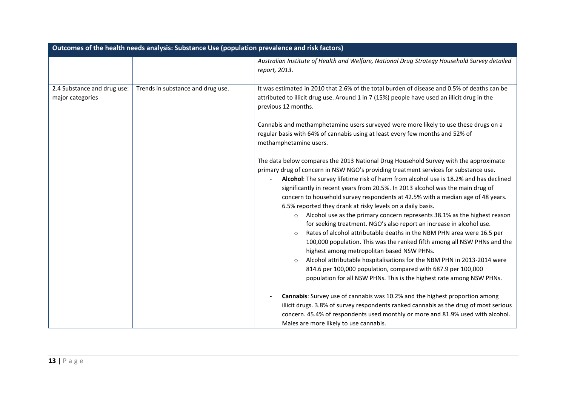| Outcomes of the health needs analysis: Substance Use (population prevalence and risk factors) |                                   |                                                                                                                                                                                                                                                                                                                                                                                                                                                                                                                                                                                                                                                                                                                                                                                                                                                                                                                                                                                                                                                                                                             |
|-----------------------------------------------------------------------------------------------|-----------------------------------|-------------------------------------------------------------------------------------------------------------------------------------------------------------------------------------------------------------------------------------------------------------------------------------------------------------------------------------------------------------------------------------------------------------------------------------------------------------------------------------------------------------------------------------------------------------------------------------------------------------------------------------------------------------------------------------------------------------------------------------------------------------------------------------------------------------------------------------------------------------------------------------------------------------------------------------------------------------------------------------------------------------------------------------------------------------------------------------------------------------|
|                                                                                               |                                   | Australian Institute of Health and Welfare, National Drug Strategy Household Survey detailed<br>report, 2013.                                                                                                                                                                                                                                                                                                                                                                                                                                                                                                                                                                                                                                                                                                                                                                                                                                                                                                                                                                                               |
| 2.4 Substance and drug use:<br>major categories                                               | Trends in substance and drug use. | It was estimated in 2010 that 2.6% of the total burden of disease and 0.5% of deaths can be<br>attributed to illicit drug use. Around 1 in 7 (15%) people have used an illicit drug in the<br>previous 12 months.                                                                                                                                                                                                                                                                                                                                                                                                                                                                                                                                                                                                                                                                                                                                                                                                                                                                                           |
|                                                                                               |                                   | Cannabis and methamphetamine users surveyed were more likely to use these drugs on a<br>regular basis with 64% of cannabis using at least every few months and 52% of<br>methamphetamine users.                                                                                                                                                                                                                                                                                                                                                                                                                                                                                                                                                                                                                                                                                                                                                                                                                                                                                                             |
|                                                                                               |                                   | The data below compares the 2013 National Drug Household Survey with the approximate<br>primary drug of concern in NSW NGO's providing treatment services for substance use.<br>Alcohol: The survey lifetime risk of harm from alcohol use is 18.2% and has declined<br>significantly in recent years from 20.5%. In 2013 alcohol was the main drug of<br>concern to household survey respondents at 42.5% with a median age of 48 years.<br>6.5% reported they drank at risky levels on a daily basis.<br>Alcohol use as the primary concern represents 38.1% as the highest reason<br>$\circ$<br>for seeking treatment. NGO's also report an increase in alcohol use.<br>Rates of alcohol attributable deaths in the NBM PHN area were 16.5 per<br>$\circ$<br>100,000 population. This was the ranked fifth among all NSW PHNs and the<br>highest among metropolitan based NSW PHNs.<br>Alcohol attributable hospitalisations for the NBM PHN in 2013-2014 were<br>814.6 per 100,000 population, compared with 687.9 per 100,000<br>population for all NSW PHNs. This is the highest rate among NSW PHNs. |
|                                                                                               |                                   | Cannabis: Survey use of cannabis was 10.2% and the highest proportion among<br>illicit drugs. 3.8% of survey respondents ranked cannabis as the drug of most serious<br>concern. 45.4% of respondents used monthly or more and 81.9% used with alcohol.<br>Males are more likely to use cannabis.                                                                                                                                                                                                                                                                                                                                                                                                                                                                                                                                                                                                                                                                                                                                                                                                           |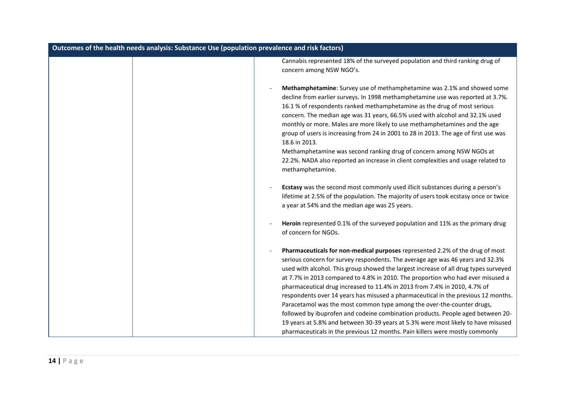| Outcomes of the health needs analysis: Substance Use (population prevalence and risk factors) |                                                                                                                                                                                                                                                                                                                                                                                                                                                                                                                                                                                                                                                                                                                                                                                                                                                |  |
|-----------------------------------------------------------------------------------------------|------------------------------------------------------------------------------------------------------------------------------------------------------------------------------------------------------------------------------------------------------------------------------------------------------------------------------------------------------------------------------------------------------------------------------------------------------------------------------------------------------------------------------------------------------------------------------------------------------------------------------------------------------------------------------------------------------------------------------------------------------------------------------------------------------------------------------------------------|--|
|                                                                                               | Cannabis represented 18% of the surveyed population and third ranking drug of<br>concern among NSW NGO's.                                                                                                                                                                                                                                                                                                                                                                                                                                                                                                                                                                                                                                                                                                                                      |  |
|                                                                                               | Methamphetamine: Survey use of methamphetamine was 2.1% and showed some<br>decline from earlier surveys. In 1998 methamphetamine use was reported at 3.7%.<br>16.1 % of respondents ranked methamphetamine as the drug of most serious<br>concern. The median age was 31 years, 66.5% used with alcohol and 32.1% used<br>monthly or more. Males are more likely to use methamphetamines and the age<br>group of users is increasing from 24 in 2001 to 28 in 2013. The age of first use was<br>18.6 in 2013.<br>Methamphetamine was second ranking drug of concern among NSW NGOs at<br>22.2%. NADA also reported an increase in client complexities and usage related to<br>methamphetamine.                                                                                                                                                 |  |
|                                                                                               | Ecstasy was the second most commonly used illicit substances during a person's<br>lifetime at 2.5% of the population. The majority of users took ecstasy once or twice<br>a year at 54% and the median age was 25 years.                                                                                                                                                                                                                                                                                                                                                                                                                                                                                                                                                                                                                       |  |
|                                                                                               | Heroin represented 0.1% of the surveyed population and 11% as the primary drug<br>of concern for NGOs.                                                                                                                                                                                                                                                                                                                                                                                                                                                                                                                                                                                                                                                                                                                                         |  |
|                                                                                               | Pharmaceuticals for non-medical purposes represented 2.2% of the drug of most<br>serious concern for survey respondents. The average age was 46 years and 32.3%<br>used with alcohol. This group showed the largest increase of all drug types surveyed<br>at 7.7% in 2013 compared to 4.8% in 2010. The proportion who had ever misused a<br>pharmaceutical drug increased to 11.4% in 2013 from 7.4% in 2010, 4.7% of<br>respondents over 14 years has misused a pharmaceutical in the previous 12 months.<br>Paracetamol was the most common type among the over-the-counter drugs,<br>followed by ibuprofen and codeine combination products. People aged between 20-<br>19 years at 5.8% and between 30-39 years at 5.3% were most likely to have misused<br>pharmaceuticals in the previous 12 months. Pain killers were mostly commonly |  |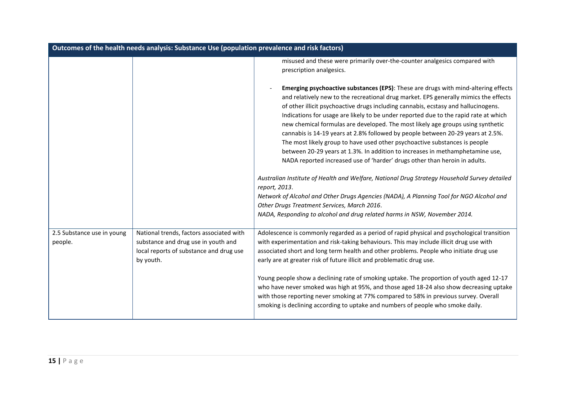| Outcomes of the health needs analysis: Substance Use (population prevalence and risk factors) |                                                                                                                                         |                                                                                                                                                                                                                                                                                                                                                                                                                                                                                                                                                                                                                                                                                                                                                                                                                                                                                                                                                                                                                                                                                                                     |
|-----------------------------------------------------------------------------------------------|-----------------------------------------------------------------------------------------------------------------------------------------|---------------------------------------------------------------------------------------------------------------------------------------------------------------------------------------------------------------------------------------------------------------------------------------------------------------------------------------------------------------------------------------------------------------------------------------------------------------------------------------------------------------------------------------------------------------------------------------------------------------------------------------------------------------------------------------------------------------------------------------------------------------------------------------------------------------------------------------------------------------------------------------------------------------------------------------------------------------------------------------------------------------------------------------------------------------------------------------------------------------------|
|                                                                                               |                                                                                                                                         | misused and these were primarily over-the-counter analgesics compared with<br>prescription analgesics.                                                                                                                                                                                                                                                                                                                                                                                                                                                                                                                                                                                                                                                                                                                                                                                                                                                                                                                                                                                                              |
|                                                                                               |                                                                                                                                         | Emerging psychoactive substances (EPS): These are drugs with mind-altering effects<br>and relatively new to the recreational drug market. EPS generally mimics the effects<br>of other illicit psychoactive drugs including cannabis, ecstasy and hallucinogens.<br>Indications for usage are likely to be under reported due to the rapid rate at which<br>new chemical formulas are developed. The most likely age groups using synthetic<br>cannabis is 14-19 years at 2.8% followed by people between 20-29 years at 2.5%.<br>The most likely group to have used other psychoactive substances is people<br>between 20-29 years at 1.3%. In addition to increases in methamphetamine use,<br>NADA reported increased use of 'harder' drugs other than heroin in adults.<br>Australian Institute of Health and Welfare, National Drug Strategy Household Survey detailed<br>report, 2013.<br>Network of Alcohol and Other Drugs Agencies (NADA), A Planning Tool for NGO Alcohol and<br>Other Drugs Treatment Services, March 2016.<br>NADA, Responding to alcohol and drug related harms in NSW, November 2014. |
| 2.5 Substance use in young<br>people.                                                         | National trends, factors associated with<br>substance and drug use in youth and<br>local reports of substance and drug use<br>by youth. | Adolescence is commonly regarded as a period of rapid physical and psychological transition<br>with experimentation and risk-taking behaviours. This may include illicit drug use with<br>associated short and long term health and other problems. People who initiate drug use<br>early are at greater risk of future illicit and problematic drug use.<br>Young people show a declining rate of smoking uptake. The proportion of youth aged 12-17<br>who have never smoked was high at 95%, and those aged 18-24 also show decreasing uptake<br>with those reporting never smoking at 77% compared to 58% in previous survey. Overall<br>smoking is declining according to uptake and numbers of people who smoke daily.                                                                                                                                                                                                                                                                                                                                                                                        |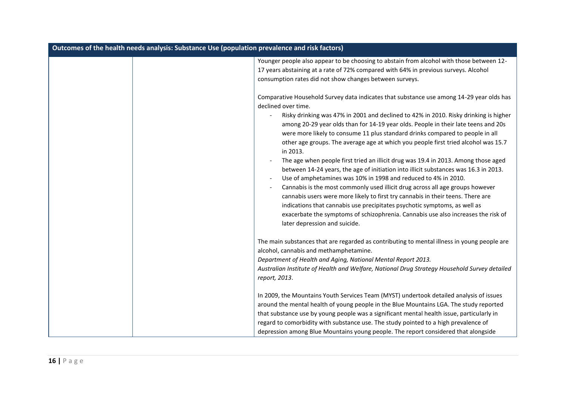| Outcomes of the health needs analysis: Substance Use (population prevalence and risk factors) |                                                                                                                                                                                                                                                                                                                                                                                                                                                                                                                                                                                                                                                                                                                                                                                                                                                                                                                                                                                                                                                                                                                                                                 |
|-----------------------------------------------------------------------------------------------|-----------------------------------------------------------------------------------------------------------------------------------------------------------------------------------------------------------------------------------------------------------------------------------------------------------------------------------------------------------------------------------------------------------------------------------------------------------------------------------------------------------------------------------------------------------------------------------------------------------------------------------------------------------------------------------------------------------------------------------------------------------------------------------------------------------------------------------------------------------------------------------------------------------------------------------------------------------------------------------------------------------------------------------------------------------------------------------------------------------------------------------------------------------------|
|                                                                                               | Younger people also appear to be choosing to abstain from alcohol with those between 12-<br>17 years abstaining at a rate of 72% compared with 64% in previous surveys. Alcohol<br>consumption rates did not show changes between surveys.                                                                                                                                                                                                                                                                                                                                                                                                                                                                                                                                                                                                                                                                                                                                                                                                                                                                                                                      |
|                                                                                               | Comparative Household Survey data indicates that substance use among 14-29 year olds has<br>declined over time.<br>Risky drinking was 47% in 2001 and declined to 42% in 2010. Risky drinking is higher<br>among 20-29 year olds than for 14-19 year olds. People in their late teens and 20s<br>were more likely to consume 11 plus standard drinks compared to people in all<br>other age groups. The average age at which you people first tried alcohol was 15.7<br>in 2013.<br>The age when people first tried an illicit drug was 19.4 in 2013. Among those aged<br>between 14-24 years, the age of initiation into illicit substances was 16.3 in 2013.<br>Use of amphetamines was 10% in 1998 and reduced to 4% in 2010.<br>$\overline{\phantom{a}}$<br>Cannabis is the most commonly used illicit drug across all age groups however<br>$\overline{\phantom{a}}$<br>cannabis users were more likely to first try cannabis in their teens. There are<br>indications that cannabis use precipitates psychotic symptoms, as well as<br>exacerbate the symptoms of schizophrenia. Cannabis use also increases the risk of<br>later depression and suicide. |
|                                                                                               | The main substances that are regarded as contributing to mental illness in young people are<br>alcohol, cannabis and methamphetamine.<br>Department of Health and Aging, National Mental Report 2013.<br>Australian Institute of Health and Welfare, National Drug Strategy Household Survey detailed<br>report, 2013.                                                                                                                                                                                                                                                                                                                                                                                                                                                                                                                                                                                                                                                                                                                                                                                                                                          |
|                                                                                               | In 2009, the Mountains Youth Services Team (MYST) undertook detailed analysis of issues<br>around the mental health of young people in the Blue Mountains LGA. The study reported<br>that substance use by young people was a significant mental health issue, particularly in<br>regard to comorbidity with substance use. The study pointed to a high prevalence of<br>depression among Blue Mountains young people. The report considered that alongside                                                                                                                                                                                                                                                                                                                                                                                                                                                                                                                                                                                                                                                                                                     |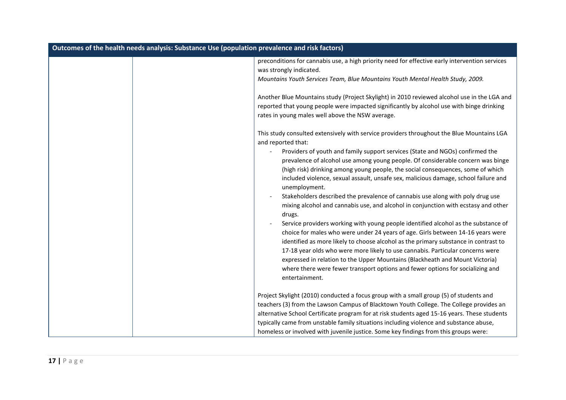| Outcomes of the health needs analysis: Substance Use (population prevalence and risk factors) |                                                                                                                                                                                                                                                                                                                                                                                                                                                                                                                                                                                                                                                                                                                                                                                                                                                                                                                                                                                                                                                                                                                                                                                                        |
|-----------------------------------------------------------------------------------------------|--------------------------------------------------------------------------------------------------------------------------------------------------------------------------------------------------------------------------------------------------------------------------------------------------------------------------------------------------------------------------------------------------------------------------------------------------------------------------------------------------------------------------------------------------------------------------------------------------------------------------------------------------------------------------------------------------------------------------------------------------------------------------------------------------------------------------------------------------------------------------------------------------------------------------------------------------------------------------------------------------------------------------------------------------------------------------------------------------------------------------------------------------------------------------------------------------------|
|                                                                                               | preconditions for cannabis use, a high priority need for effective early intervention services<br>was strongly indicated.<br>Mountains Youth Services Team, Blue Mountains Youth Mental Health Study, 2009.                                                                                                                                                                                                                                                                                                                                                                                                                                                                                                                                                                                                                                                                                                                                                                                                                                                                                                                                                                                            |
|                                                                                               | Another Blue Mountains study (Project Skylight) in 2010 reviewed alcohol use in the LGA and<br>reported that young people were impacted significantly by alcohol use with binge drinking<br>rates in young males well above the NSW average.                                                                                                                                                                                                                                                                                                                                                                                                                                                                                                                                                                                                                                                                                                                                                                                                                                                                                                                                                           |
|                                                                                               | This study consulted extensively with service providers throughout the Blue Mountains LGA<br>and reported that:<br>Providers of youth and family support services (State and NGOs) confirmed the<br>prevalence of alcohol use among young people. Of considerable concern was binge<br>(high risk) drinking among young people, the social consequences, some of which<br>included violence, sexual assault, unsafe sex, malicious damage, school failure and<br>unemployment.<br>Stakeholders described the prevalence of cannabis use along with poly drug use<br>mixing alcohol and cannabis use, and alcohol in conjunction with ecstasy and other<br>drugs.<br>Service providers working with young people identified alcohol as the substance of<br>choice for males who were under 24 years of age. Girls between 14-16 years were<br>identified as more likely to choose alcohol as the primary substance in contrast to<br>17-18 year olds who were more likely to use cannabis. Particular concerns were<br>expressed in relation to the Upper Mountains (Blackheath and Mount Victoria)<br>where there were fewer transport options and fewer options for socializing and<br>entertainment. |
|                                                                                               | Project Skylight (2010) conducted a focus group with a small group (5) of students and<br>teachers (3) from the Lawson Campus of Blacktown Youth College. The College provides an<br>alternative School Certificate program for at risk students aged 15-16 years. These students<br>typically came from unstable family situations including violence and substance abuse,<br>homeless or involved with juvenile justice. Some key findings from this groups were:                                                                                                                                                                                                                                                                                                                                                                                                                                                                                                                                                                                                                                                                                                                                    |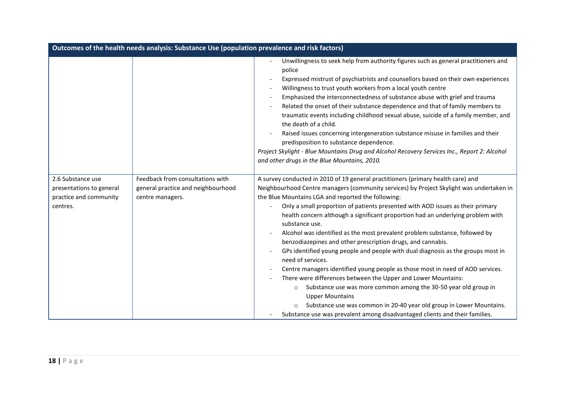| Outcomes of the health needs analysis: Substance Use (population prevalence and risk factors) |                                                                                            |                                                                                                                                                                                                                                                                                                                                                                                                                                                                                                                                                                                                                                                                                                                                                                                                                                                                                                                                                                                                                                                                                                    |
|-----------------------------------------------------------------------------------------------|--------------------------------------------------------------------------------------------|----------------------------------------------------------------------------------------------------------------------------------------------------------------------------------------------------------------------------------------------------------------------------------------------------------------------------------------------------------------------------------------------------------------------------------------------------------------------------------------------------------------------------------------------------------------------------------------------------------------------------------------------------------------------------------------------------------------------------------------------------------------------------------------------------------------------------------------------------------------------------------------------------------------------------------------------------------------------------------------------------------------------------------------------------------------------------------------------------|
|                                                                                               |                                                                                            | Unwillingness to seek help from authority figures such as general practitioners and<br>police<br>Expressed mistrust of psychiatrists and counsellors based on their own experiences<br>Willingness to trust youth workers from a local youth centre<br>Emphasized the interconnectedness of substance abuse with grief and trauma<br>Related the onset of their substance dependence and that of family members to<br>traumatic events including childhood sexual abuse, suicide of a family member, and<br>the death of a child.<br>Raised issues concerning intergeneration substance misuse in families and their<br>predisposition to substance dependence.<br>Project Skylight - Blue Mountains Drug and Alcohol Recovery Services Inc., Report 2: Alcohol<br>and other drugs in the Blue Mountains, 2010.                                                                                                                                                                                                                                                                                    |
| 2.6 Substance use<br>presentations to general<br>practice and community<br>centres.           | Feedback from consultations with<br>general practice and neighbourhood<br>centre managers. | A survey conducted in 2010 of 19 general practitioners (primary health care) and<br>Neighbourhood Centre managers (community services) by Project Skylight was undertaken in<br>the Blue Mountains LGA and reported the following:<br>Only a small proportion of patients presented with AOD issues as their primary<br>health concern although a significant proportion had an underlying problem with<br>substance use.<br>Alcohol was identified as the most prevalent problem substance, followed by<br>benzodiazepines and other prescription drugs, and cannabis.<br>GPs identified young people and people with dual diagnosis as the groups most in<br>need of services.<br>Centre managers identified young people as those most in need of AOD services.<br>There were differences between the Upper and Lower Mountains:<br>Substance use was more common among the 30-50 year old group in<br>$\circ$<br><b>Upper Mountains</b><br>Substance use was common in 20-40 year old group in Lower Mountains.<br>Substance use was prevalent among disadvantaged clients and their families. |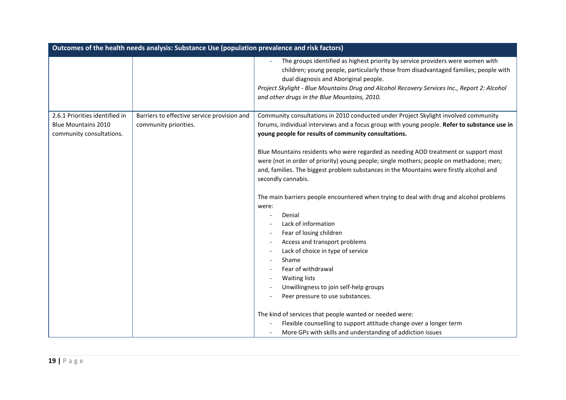| Outcomes of the health needs analysis: Substance Use (population prevalence and risk factors) |                                             |                                                                                                                                                                                                                                                                                                                                                                |
|-----------------------------------------------------------------------------------------------|---------------------------------------------|----------------------------------------------------------------------------------------------------------------------------------------------------------------------------------------------------------------------------------------------------------------------------------------------------------------------------------------------------------------|
|                                                                                               |                                             | The groups identified as highest priority by service providers were women with<br>children; young people, particularly those from disadvantaged families; people with<br>dual diagnosis and Aboriginal people.<br>Project Skylight - Blue Mountains Drug and Alcohol Recovery Services Inc., Report 2: Alcohol<br>and other drugs in the Blue Mountains, 2010. |
| 2.6.1 Priorities identified in                                                                | Barriers to effective service provision and | Community consultations in 2010 conducted under Project Skylight involved community                                                                                                                                                                                                                                                                            |
| <b>Blue Mountains 2010</b>                                                                    | community priorities.                       | forums, individual interviews and a focus group with young people. Refer to substance use in                                                                                                                                                                                                                                                                   |
| community consultations.                                                                      |                                             | young people for results of community consultations.                                                                                                                                                                                                                                                                                                           |
|                                                                                               |                                             | Blue Mountains residents who were regarded as needing AOD treatment or support most<br>were (not in order of priority) young people; single mothers; people on methadone; men;<br>and, families. The biggest problem substances in the Mountains were firstly alcohol and<br>secondly cannabis.                                                                |
|                                                                                               |                                             | The main barriers people encountered when trying to deal with drug and alcohol problems                                                                                                                                                                                                                                                                        |
|                                                                                               |                                             | were:                                                                                                                                                                                                                                                                                                                                                          |
|                                                                                               |                                             | Denial<br>Lack of information                                                                                                                                                                                                                                                                                                                                  |
|                                                                                               |                                             | Fear of losing children                                                                                                                                                                                                                                                                                                                                        |
|                                                                                               |                                             | Access and transport problems                                                                                                                                                                                                                                                                                                                                  |
|                                                                                               |                                             | Lack of choice in type of service                                                                                                                                                                                                                                                                                                                              |
|                                                                                               |                                             | Shame                                                                                                                                                                                                                                                                                                                                                          |
|                                                                                               |                                             | Fear of withdrawal                                                                                                                                                                                                                                                                                                                                             |
|                                                                                               |                                             | <b>Waiting lists</b>                                                                                                                                                                                                                                                                                                                                           |
|                                                                                               |                                             | Unwillingness to join self-help groups                                                                                                                                                                                                                                                                                                                         |
|                                                                                               |                                             | Peer pressure to use substances.                                                                                                                                                                                                                                                                                                                               |
|                                                                                               |                                             | The kind of services that people wanted or needed were:                                                                                                                                                                                                                                                                                                        |
|                                                                                               |                                             | Flexible counselling to support attitude change over a longer term                                                                                                                                                                                                                                                                                             |
|                                                                                               |                                             | More GPs with skills and understanding of addiction issues                                                                                                                                                                                                                                                                                                     |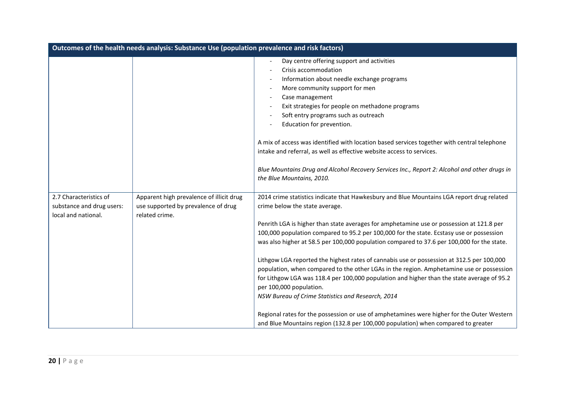| Outcomes of the health needs analysis: Substance Use (population prevalence and risk factors) |                                                                                                   |                                                                                                                                                                                                                                                                                                                                                                                                                                                                                                                                                                                                                                                                                                                                                                                                                                                                                                                                                                             |
|-----------------------------------------------------------------------------------------------|---------------------------------------------------------------------------------------------------|-----------------------------------------------------------------------------------------------------------------------------------------------------------------------------------------------------------------------------------------------------------------------------------------------------------------------------------------------------------------------------------------------------------------------------------------------------------------------------------------------------------------------------------------------------------------------------------------------------------------------------------------------------------------------------------------------------------------------------------------------------------------------------------------------------------------------------------------------------------------------------------------------------------------------------------------------------------------------------|
|                                                                                               |                                                                                                   | Day centre offering support and activities<br>$\overline{\phantom{a}}$<br>Crisis accommodation<br>Information about needle exchange programs<br>More community support for men<br>$\overline{\phantom{a}}$<br>Case management<br>$\overline{\phantom{a}}$<br>Exit strategies for people on methadone programs<br>Soft entry programs such as outreach<br>Education for prevention.<br>A mix of access was identified with location based services together with central telephone<br>intake and referral, as well as effective website access to services.<br>Blue Mountains Drug and Alcohol Recovery Services Inc., Report 2: Alcohol and other drugs in<br>the Blue Mountains, 2010.                                                                                                                                                                                                                                                                                     |
| 2.7 Characteristics of<br>substance and drug users:<br>local and national.                    | Apparent high prevalence of illicit drug<br>use supported by prevalence of drug<br>related crime. | 2014 crime statistics indicate that Hawkesbury and Blue Mountains LGA report drug related<br>crime below the state average.<br>Penrith LGA is higher than state averages for amphetamine use or possession at 121.8 per<br>100,000 population compared to 95.2 per 100,000 for the state. Ecstasy use or possession<br>was also higher at 58.5 per 100,000 population compared to 37.6 per 100,000 for the state.<br>Lithgow LGA reported the highest rates of cannabis use or possession at 312.5 per 100,000<br>population, when compared to the other LGAs in the region. Amphetamine use or possession<br>for Lithgow LGA was 118.4 per 100,000 population and higher than the state average of 95.2<br>per 100,000 population.<br>NSW Bureau of Crime Statistics and Research, 2014<br>Regional rates for the possession or use of amphetamines were higher for the Outer Western<br>and Blue Mountains region (132.8 per 100,000 population) when compared to greater |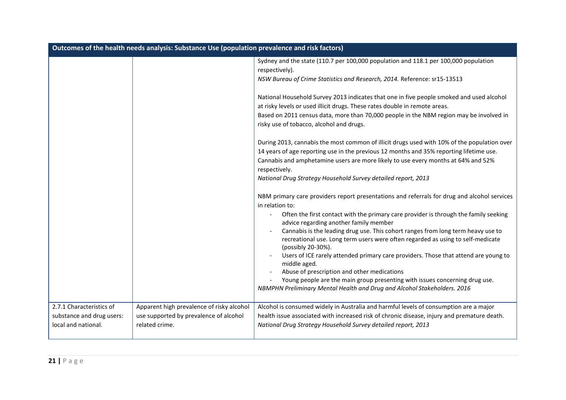| Outcomes of the health needs analysis: Substance Use (population prevalence and risk factors) |                                                                                     |                                                                                                                                                                                                                                                                   |
|-----------------------------------------------------------------------------------------------|-------------------------------------------------------------------------------------|-------------------------------------------------------------------------------------------------------------------------------------------------------------------------------------------------------------------------------------------------------------------|
|                                                                                               |                                                                                     | Sydney and the state (110.7 per 100,000 population and 118.1 per 100,000 population<br>respectively).<br>NSW Bureau of Crime Statistics and Research, 2014. Reference: sr15-13513                                                                                 |
|                                                                                               |                                                                                     | National Household Survey 2013 indicates that one in five people smoked and used alcohol<br>at risky levels or used illicit drugs. These rates double in remote areas.<br>Based on 2011 census data, more than 70,000 people in the NBM region may be involved in |
|                                                                                               |                                                                                     | risky use of tobacco, alcohol and drugs.<br>During 2013, cannabis the most common of illicit drugs used with 10% of the population over                                                                                                                           |
|                                                                                               |                                                                                     | 14 years of age reporting use in the previous 12 months and 35% reporting lifetime use.<br>Cannabis and amphetamine users are more likely to use every months at 64% and 52%<br>respectively.                                                                     |
|                                                                                               |                                                                                     | National Drug Strategy Household Survey detailed report, 2013                                                                                                                                                                                                     |
|                                                                                               |                                                                                     | NBM primary care providers report presentations and referrals for drug and alcohol services<br>in relation to:                                                                                                                                                    |
|                                                                                               |                                                                                     | Often the first contact with the primary care provider is through the family seeking<br>advice regarding another family member<br>Cannabis is the leading drug use. This cohort ranges from long term heavy use to                                                |
|                                                                                               |                                                                                     | recreational use. Long term users were often regarded as using to self-medicate<br>(possibly 20-30%).                                                                                                                                                             |
|                                                                                               |                                                                                     | Users of ICE rarely attended primary care providers. Those that attend are young to<br>middle aged.                                                                                                                                                               |
|                                                                                               |                                                                                     | Abuse of prescription and other medications<br>Young people are the main group presenting with issues concerning drug use.<br>NBMPHN Preliminary Mental Health and Drug and Alcohol Stakeholders. 2016                                                            |
| 2.7.1 Characteristics of<br>substance and drug users:                                         | Apparent high prevalence of risky alcohol<br>use supported by prevalence of alcohol | Alcohol is consumed widely in Australia and harmful levels of consumption are a major<br>health issue associated with increased risk of chronic disease, injury and premature death.                                                                              |
| local and national.                                                                           | related crime.                                                                      | National Drug Strategy Household Survey detailed report, 2013                                                                                                                                                                                                     |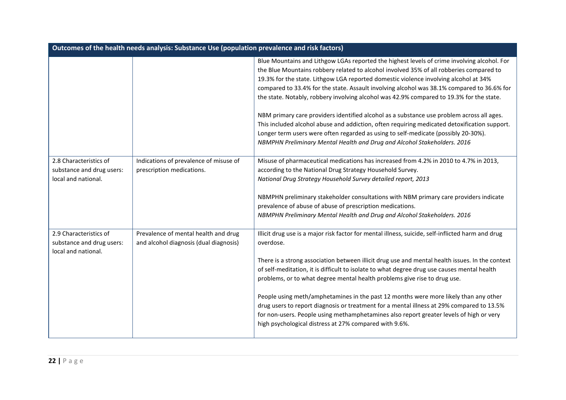| Outcomes of the health needs analysis: Substance Use (population prevalence and risk factors) |                                                                                |                                                                                                                                                                                                                                                                                                                                                                                                                                                                                                                                                                                                                                                                                                                                                                                                                                         |
|-----------------------------------------------------------------------------------------------|--------------------------------------------------------------------------------|-----------------------------------------------------------------------------------------------------------------------------------------------------------------------------------------------------------------------------------------------------------------------------------------------------------------------------------------------------------------------------------------------------------------------------------------------------------------------------------------------------------------------------------------------------------------------------------------------------------------------------------------------------------------------------------------------------------------------------------------------------------------------------------------------------------------------------------------|
|                                                                                               |                                                                                | Blue Mountains and Lithgow LGAs reported the highest levels of crime involving alcohol. For<br>the Blue Mountains robbery related to alcohol involved 35% of all robberies compared to<br>19.3% for the state. Lithgow LGA reported domestic violence involving alcohol at 34%<br>compared to 33.4% for the state. Assault involving alcohol was 38.1% compared to 36.6% for<br>the state. Notably, robbery involving alcohol was 42.9% compared to 19.3% for the state.<br>NBM primary care providers identified alcohol as a substance use problem across all ages.<br>This included alcohol abuse and addiction, often requiring medicated detoxification support.<br>Longer term users were often regarded as using to self-medicate (possibly 20-30%).<br>NBMPHN Preliminary Mental Health and Drug and Alcohol Stakeholders. 2016 |
| 2.8 Characteristics of<br>substance and drug users:<br>local and national.                    | Indications of prevalence of misuse of<br>prescription medications.            | Misuse of pharmaceutical medications has increased from 4.2% in 2010 to 4.7% in 2013,<br>according to the National Drug Strategy Household Survey.<br>National Drug Strategy Household Survey detailed report, 2013<br>NBMPHN preliminary stakeholder consultations with NBM primary care providers indicate<br>prevalence of abuse of abuse of prescription medications.<br>NBMPHN Preliminary Mental Health and Drug and Alcohol Stakeholders. 2016                                                                                                                                                                                                                                                                                                                                                                                   |
| 2.9 Characteristics of<br>substance and drug users:<br>local and national.                    | Prevalence of mental health and drug<br>and alcohol diagnosis (dual diagnosis) | Illicit drug use is a major risk factor for mental illness, suicide, self-inflicted harm and drug<br>overdose.<br>There is a strong association between illicit drug use and mental health issues. In the context<br>of self-meditation, it is difficult to isolate to what degree drug use causes mental health<br>problems, or to what degree mental health problems give rise to drug use.<br>People using meth/amphetamines in the past 12 months were more likely than any other<br>drug users to report diagnosis or treatment for a mental illness at 29% compared to 13.5%<br>for non-users. People using methamphetamines also report greater levels of high or very<br>high psychological distress at 27% compared with 9.6%.                                                                                                 |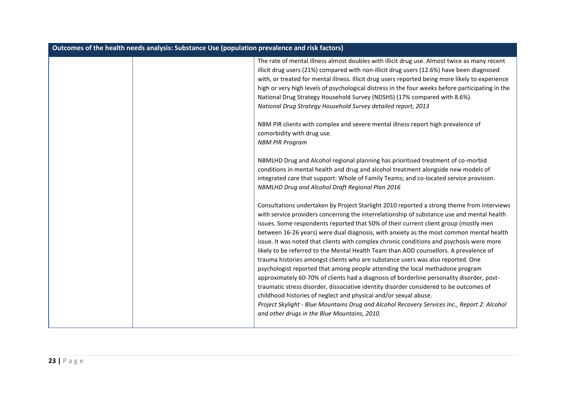| Outcomes of the health needs analysis: Substance Use (population prevalence and risk factors) |                                                                                                                                                                                                                                                                                                                                                                                                                                                                                                                                                                                                                                                                                                                                                                                                                                                                                                                                                                                                                                                                                                                                                 |  |
|-----------------------------------------------------------------------------------------------|-------------------------------------------------------------------------------------------------------------------------------------------------------------------------------------------------------------------------------------------------------------------------------------------------------------------------------------------------------------------------------------------------------------------------------------------------------------------------------------------------------------------------------------------------------------------------------------------------------------------------------------------------------------------------------------------------------------------------------------------------------------------------------------------------------------------------------------------------------------------------------------------------------------------------------------------------------------------------------------------------------------------------------------------------------------------------------------------------------------------------------------------------|--|
|                                                                                               | The rate of mental illness almost doubles with illicit drug use. Almost twice as many recent<br>illicit drug users (21%) compared with non-illicit drug users (12.6%) have been diagnosed<br>with, or treated for mental illness. Illicit drug users reported being more likely to experience<br>high or very high levels of psychological distress in the four weeks before participating in the<br>National Drug Strategy Household Survey (NDSHS) (17% compared with 8.6%).<br>National Drug Strategy Household Survey detailed report, 2013                                                                                                                                                                                                                                                                                                                                                                                                                                                                                                                                                                                                 |  |
|                                                                                               | NBM PIR clients with complex and severe mental illness report high prevalence of<br>comorbidity with drug use.<br><b>NBM PIR Program</b>                                                                                                                                                                                                                                                                                                                                                                                                                                                                                                                                                                                                                                                                                                                                                                                                                                                                                                                                                                                                        |  |
|                                                                                               | NBMLHD Drug and Alcohol regional planning has prioritised treatment of co-morbid<br>conditions in mental health and drug and alcohol treatment alongside new models of<br>integrated care that support: Whole of Family Teams; and co-located service provision.<br>NBMLHD Drug and Alcohol Draft Regional Plan 2016                                                                                                                                                                                                                                                                                                                                                                                                                                                                                                                                                                                                                                                                                                                                                                                                                            |  |
|                                                                                               | Consultations undertaken by Project Starlight 2010 reported a strong theme from interviews<br>with service providers concerning the interrelationship of substance use and mental health<br>issues. Some respondents reported that 50% of their current client group (mostly men<br>between 16-26 years) were dual diagnosis, with anxiety as the most common mental health<br>issue. It was noted that clients with complex chronic conditions and psychosis were more<br>likely to be referred to the Mental Health Team than AOD counsellors. A prevalence of<br>trauma histories amongst clients who are substance users was also reported. One<br>psychologist reported that among people attending the local methadone program<br>approximately 60-70% of clients had a diagnosis of borderline personality disorder, post-<br>traumatic stress disorder, dissociative identity disorder considered to be outcomes of<br>childhood histories of neglect and physical and/or sexual abuse.<br>Project Skylight - Blue Mountains Drug and Alcohol Recovery Services Inc., Report 2: Alcohol<br>and other drugs in the Blue Mountains, 2010. |  |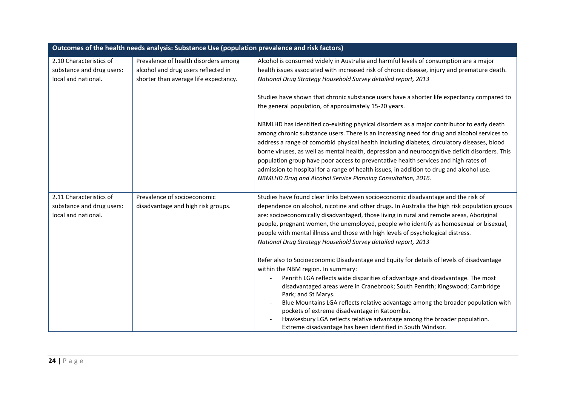| Outcomes of the health needs analysis: Substance Use (population prevalence and risk factors) |                                       |                                                                                                                                                                                                                                                                                                                                                                                                                                                                                                                                                                                                                                               |
|-----------------------------------------------------------------------------------------------|---------------------------------------|-----------------------------------------------------------------------------------------------------------------------------------------------------------------------------------------------------------------------------------------------------------------------------------------------------------------------------------------------------------------------------------------------------------------------------------------------------------------------------------------------------------------------------------------------------------------------------------------------------------------------------------------------|
| 2.10 Characteristics of                                                                       | Prevalence of health disorders among  | Alcohol is consumed widely in Australia and harmful levels of consumption are a major                                                                                                                                                                                                                                                                                                                                                                                                                                                                                                                                                         |
| substance and drug users:                                                                     | alcohol and drug users reflected in   | health issues associated with increased risk of chronic disease, injury and premature death.                                                                                                                                                                                                                                                                                                                                                                                                                                                                                                                                                  |
| local and national.                                                                           | shorter than average life expectancy. | National Drug Strategy Household Survey detailed report, 2013                                                                                                                                                                                                                                                                                                                                                                                                                                                                                                                                                                                 |
|                                                                                               |                                       | Studies have shown that chronic substance users have a shorter life expectancy compared to<br>the general population, of approximately 15-20 years.                                                                                                                                                                                                                                                                                                                                                                                                                                                                                           |
|                                                                                               |                                       | NBMLHD has identified co-existing physical disorders as a major contributor to early death<br>among chronic substance users. There is an increasing need for drug and alcohol services to<br>address a range of comorbid physical health including diabetes, circulatory diseases, blood<br>borne viruses, as well as mental health, depression and neurocognitive deficit disorders. This<br>population group have poor access to preventative health services and high rates of<br>admission to hospital for a range of health issues, in addition to drug and alcohol use.<br>NBMLHD Drug and Alcohol Service Planning Consultation, 2016. |
| 2.11 Characteristics of                                                                       | Prevalence of socioeconomic           | Studies have found clear links between socioeconomic disadvantage and the risk of                                                                                                                                                                                                                                                                                                                                                                                                                                                                                                                                                             |
| substance and drug users:<br>local and national.                                              | disadvantage and high risk groups.    | dependence on alcohol, nicotine and other drugs. In Australia the high risk population groups<br>are: socioeconomically disadvantaged, those living in rural and remote areas, Aboriginal<br>people, pregnant women, the unemployed, people who identify as homosexual or bisexual,<br>people with mental illness and those with high levels of psychological distress.<br>National Drug Strategy Household Survey detailed report, 2013                                                                                                                                                                                                      |
|                                                                                               |                                       | Refer also to Socioeconomic Disadvantage and Equity for details of levels of disadvantage<br>within the NBM region. In summary:                                                                                                                                                                                                                                                                                                                                                                                                                                                                                                               |
|                                                                                               |                                       | Penrith LGA reflects wide disparities of advantage and disadvantage. The most<br>disadvantaged areas were in Cranebrook; South Penrith; Kingswood; Cambridge<br>Park; and St Marys.<br>Blue Mountains LGA reflects relative advantage among the broader population with<br>pockets of extreme disadvantage in Katoomba.<br>Hawkesbury LGA reflects relative advantage among the broader population.<br>Extreme disadvantage has been identified in South Windsor.                                                                                                                                                                             |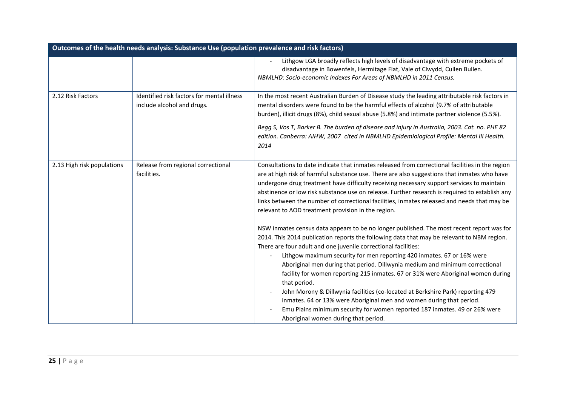| Outcomes of the health needs analysis: Substance Use (population prevalence and risk factors) |                                                                          |                                                                                                                                                                                                                                                                                                                                                                                                                                                                                                                                                                                                                                                                                                                                                                                                                                                                                                                                                                                                                                                                                                                                                                                                                                          |
|-----------------------------------------------------------------------------------------------|--------------------------------------------------------------------------|------------------------------------------------------------------------------------------------------------------------------------------------------------------------------------------------------------------------------------------------------------------------------------------------------------------------------------------------------------------------------------------------------------------------------------------------------------------------------------------------------------------------------------------------------------------------------------------------------------------------------------------------------------------------------------------------------------------------------------------------------------------------------------------------------------------------------------------------------------------------------------------------------------------------------------------------------------------------------------------------------------------------------------------------------------------------------------------------------------------------------------------------------------------------------------------------------------------------------------------|
|                                                                                               |                                                                          | Lithgow LGA broadly reflects high levels of disadvantage with extreme pockets of<br>disadvantage in Bowenfels, Hermitage Flat, Vale of Clwydd, Cullen Bullen.<br>NBMLHD: Socio-economic Indexes For Areas of NBMLHD in 2011 Census.                                                                                                                                                                                                                                                                                                                                                                                                                                                                                                                                                                                                                                                                                                                                                                                                                                                                                                                                                                                                      |
| 2.12 Risk Factors                                                                             | Identified risk factors for mental illness<br>include alcohol and drugs. | In the most recent Australian Burden of Disease study the leading attributable risk factors in<br>mental disorders were found to be the harmful effects of alcohol (9.7% of attributable<br>burden), illicit drugs (8%), child sexual abuse (5.8%) and intimate partner violence (5.5%).<br>Begg S, Vos T, Barker B. The burden of disease and injury in Australia, 2003. Cat. no. PHE 82<br>edition. Canberra: AIHW, 2007 cited in NBMLHD Epidemiological Profile: Mental III Health.<br>2014                                                                                                                                                                                                                                                                                                                                                                                                                                                                                                                                                                                                                                                                                                                                           |
| 2.13 High risk populations                                                                    | Release from regional correctional<br>facilities.                        | Consultations to date indicate that inmates released from correctional facilities in the region<br>are at high risk of harmful substance use. There are also suggestions that inmates who have<br>undergone drug treatment have difficulty receiving necessary support services to maintain<br>abstinence or low risk substance use on release. Further research is required to establish any<br>links between the number of correctional facilities, inmates released and needs that may be<br>relevant to AOD treatment provision in the region.<br>NSW inmates census data appears to be no longer published. The most recent report was for<br>2014. This 2014 publication reports the following data that may be relevant to NBM region.<br>There are four adult and one juvenile correctional facilities:<br>Lithgow maximum security for men reporting 420 inmates. 67 or 16% were<br>Aboriginal men during that period. Dillwynia medium and minimum correctional<br>facility for women reporting 215 inmates. 67 or 31% were Aboriginal women during<br>that period.<br>John Morony & Dillwynia facilities (co-located at Berkshire Park) reporting 479<br>inmates. 64 or 13% were Aboriginal men and women during that period. |
|                                                                                               |                                                                          | Emu Plains minimum security for women reported 187 inmates. 49 or 26% were<br>Aboriginal women during that period.                                                                                                                                                                                                                                                                                                                                                                                                                                                                                                                                                                                                                                                                                                                                                                                                                                                                                                                                                                                                                                                                                                                       |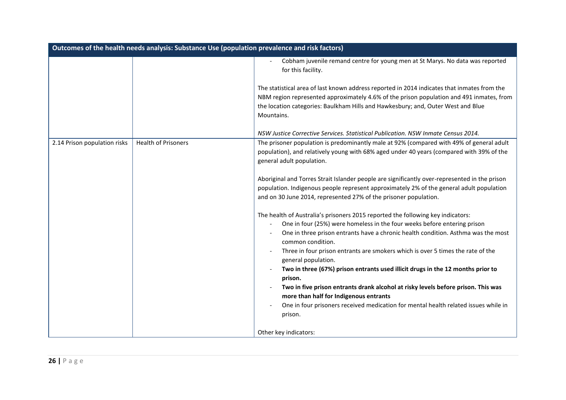| Outcomes of the health needs analysis: Substance Use (population prevalence and risk factors) |                            |                                                                                                                                                                                                                                                                                                                                                                                                                                                                                                                                                                                                                                                                                                                |
|-----------------------------------------------------------------------------------------------|----------------------------|----------------------------------------------------------------------------------------------------------------------------------------------------------------------------------------------------------------------------------------------------------------------------------------------------------------------------------------------------------------------------------------------------------------------------------------------------------------------------------------------------------------------------------------------------------------------------------------------------------------------------------------------------------------------------------------------------------------|
|                                                                                               |                            | Cobham juvenile remand centre for young men at St Marys. No data was reported<br>for this facility.                                                                                                                                                                                                                                                                                                                                                                                                                                                                                                                                                                                                            |
|                                                                                               |                            | The statistical area of last known address reported in 2014 indicates that inmates from the<br>NBM region represented approximately 4.6% of the prison population and 491 inmates, from<br>the location categories: Baulkham Hills and Hawkesbury; and, Outer West and Blue<br>Mountains.                                                                                                                                                                                                                                                                                                                                                                                                                      |
|                                                                                               |                            | NSW Justice Corrective Services. Statistical Publication. NSW Inmate Census 2014.                                                                                                                                                                                                                                                                                                                                                                                                                                                                                                                                                                                                                              |
| 2.14 Prison population risks                                                                  | <b>Health of Prisoners</b> | The prisoner population is predominantly male at 92% (compared with 49% of general adult<br>population), and relatively young with 68% aged under 40 years (compared with 39% of the<br>general adult population.                                                                                                                                                                                                                                                                                                                                                                                                                                                                                              |
|                                                                                               |                            | Aboriginal and Torres Strait Islander people are significantly over-represented in the prison<br>population. Indigenous people represent approximately 2% of the general adult population<br>and on 30 June 2014, represented 27% of the prisoner population.                                                                                                                                                                                                                                                                                                                                                                                                                                                  |
|                                                                                               |                            | The health of Australia's prisoners 2015 reported the following key indicators:<br>One in four (25%) were homeless in the four weeks before entering prison<br>One in three prison entrants have a chronic health condition. Asthma was the most<br>common condition.<br>Three in four prison entrants are smokers which is over 5 times the rate of the<br>general population.<br>Two in three (67%) prison entrants used illicit drugs in the 12 months prior to<br>prison.<br>Two in five prison entrants drank alcohol at risky levels before prison. This was<br>more than half for Indigenous entrants<br>One in four prisoners received medication for mental health related issues while in<br>prison. |
|                                                                                               |                            | Other key indicators:                                                                                                                                                                                                                                                                                                                                                                                                                                                                                                                                                                                                                                                                                          |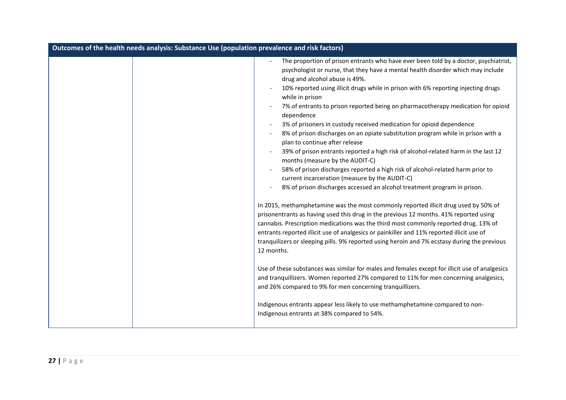| Outcomes of the health needs analysis: Substance Use (population prevalence and risk factors)                                                                                                                                                                                                                                                                                                                                                                                                                                                                                                                                                                                                                                                                                                                                                                                                                                                                                                                                                                                                                                                                                                                                                                                                                                                                                                                                                                                                                                                                                                                                                                                                                                                                                                                                            |
|------------------------------------------------------------------------------------------------------------------------------------------------------------------------------------------------------------------------------------------------------------------------------------------------------------------------------------------------------------------------------------------------------------------------------------------------------------------------------------------------------------------------------------------------------------------------------------------------------------------------------------------------------------------------------------------------------------------------------------------------------------------------------------------------------------------------------------------------------------------------------------------------------------------------------------------------------------------------------------------------------------------------------------------------------------------------------------------------------------------------------------------------------------------------------------------------------------------------------------------------------------------------------------------------------------------------------------------------------------------------------------------------------------------------------------------------------------------------------------------------------------------------------------------------------------------------------------------------------------------------------------------------------------------------------------------------------------------------------------------------------------------------------------------------------------------------------------------|
| The proportion of prison entrants who have ever been told by a doctor, psychiatrist,<br>psychologist or nurse, that they have a mental health disorder which may include<br>drug and alcohol abuse is 49%.<br>10% reported using illicit drugs while in prison with 6% reporting injecting drugs<br>while in prison<br>7% of entrants to prison reported being on pharmacotherapy medication for opioid<br>dependence<br>3% of prisoners in custody received medication for opioid dependence<br>8% of prison discharges on an opiate substitution program while in prison with a<br>plan to continue after release<br>39% of prison entrants reported a high risk of alcohol-related harm in the last 12<br>months (measure by the AUDIT-C)<br>58% of prison discharges reported a high risk of alcohol-related harm prior to<br>current incarceration (measure by the AUDIT-C)<br>8% of prison discharges accessed an alcohol treatment program in prison.<br>In 2015, methamphetamine was the most commonly reported illicit drug used by 50% of<br>prisonentrants as having used this drug in the previous 12 months. 41% reported using<br>cannabis. Prescription medications was the third most commonly reported drug. 13% of<br>entrants reported illicit use of analgesics or painkiller and 11% reported illicit use of<br>tranquilizers or sleeping pills. 9% reported using heroin and 7% ecstasy during the previous<br>12 months.<br>Use of these substances was similar for males and females except for illicit use of analgesics<br>and tranquillizers. Women reported 27% compared to 11% for men concerning analgesics,<br>and 26% compared to 9% for men concerning tranquillizers.<br>Indigenous entrants appear less likely to use methamphetamine compared to non-<br>Indigenous entrants at 38% compared to 54%. |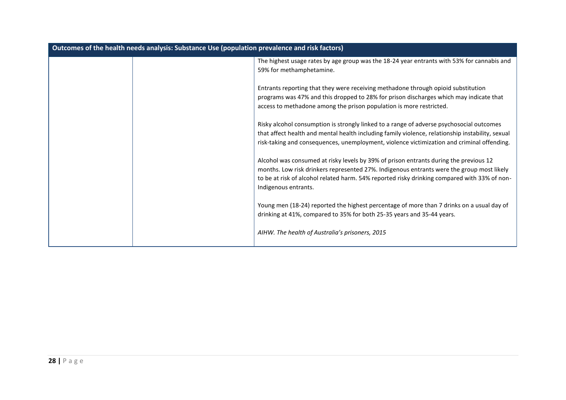| Outcomes of the health needs analysis: Substance Use (population prevalence and risk factors) |                                                                                                                                                                                                                                                                                                            |
|-----------------------------------------------------------------------------------------------|------------------------------------------------------------------------------------------------------------------------------------------------------------------------------------------------------------------------------------------------------------------------------------------------------------|
|                                                                                               | The highest usage rates by age group was the 18-24 year entrants with 53% for cannabis and<br>59% for methamphetamine.                                                                                                                                                                                     |
|                                                                                               | Entrants reporting that they were receiving methadone through opioid substitution<br>programs was 47% and this dropped to 28% for prison discharges which may indicate that<br>access to methadone among the prison population is more restricted.                                                         |
|                                                                                               | Risky alcohol consumption is strongly linked to a range of adverse psychosocial outcomes<br>that affect health and mental health including family violence, relationship instability, sexual<br>risk-taking and consequences, unemployment, violence victimization and criminal offending.                 |
|                                                                                               | Alcohol was consumed at risky levels by 39% of prison entrants during the previous 12<br>months. Low risk drinkers represented 27%. Indigenous entrants were the group most likely<br>to be at risk of alcohol related harm. 54% reported risky drinking compared with 33% of non-<br>Indigenous entrants. |
|                                                                                               | Young men (18-24) reported the highest percentage of more than 7 drinks on a usual day of<br>drinking at 41%, compared to 35% for both 25-35 years and 35-44 years.                                                                                                                                        |
|                                                                                               | AIHW. The health of Australia's prisoners, 2015                                                                                                                                                                                                                                                            |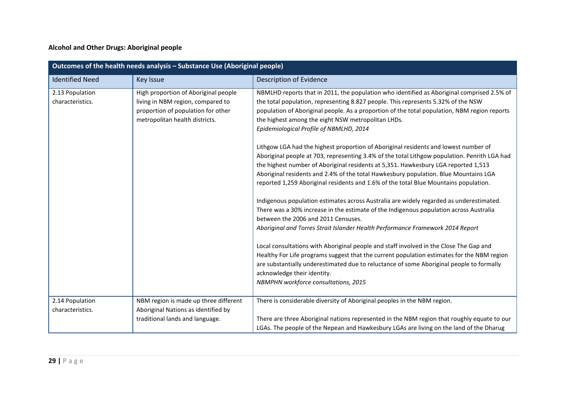#### **Alcohol and Other Drugs: Aboriginal people**

| Outcomes of the health needs analysis - Substance Use (Aboriginal people) |                                                                                                                                                   |                                                                                                                                                                                                                                                                                                                                                                                                                                                           |
|---------------------------------------------------------------------------|---------------------------------------------------------------------------------------------------------------------------------------------------|-----------------------------------------------------------------------------------------------------------------------------------------------------------------------------------------------------------------------------------------------------------------------------------------------------------------------------------------------------------------------------------------------------------------------------------------------------------|
| <b>Identified Need</b>                                                    | Key Issue                                                                                                                                         | Description of Evidence                                                                                                                                                                                                                                                                                                                                                                                                                                   |
| 2.13 Population<br>characteristics.                                       | High proportion of Aboriginal people<br>living in NBM region, compared to<br>proportion of population for other<br>metropolitan health districts. | NBMLHD reports that in 2011, the population who identified as Aboriginal comprised 2.5% of<br>the total population, representing 8.827 people. This represents 5.32% of the NSW<br>population of Aboriginal people. As a proportion of the total population, NBM region reports<br>the highest among the eight NSW metropolitan LHDs.<br>Epidemiological Profile of NBMLHD, 2014                                                                          |
|                                                                           |                                                                                                                                                   | Lithgow LGA had the highest proportion of Aboriginal residents and lowest number of<br>Aboriginal people at 703, representing 3.4% of the total Lithgow population. Penrith LGA had<br>the highest number of Aboriginal residents at 5,351. Hawkesbury LGA reported 1,513<br>Aboriginal residents and 2.4% of the total Hawkesbury population. Blue Mountains LGA<br>reported 1,259 Aboriginal residents and 1.6% of the total Blue Mountains population. |
|                                                                           |                                                                                                                                                   | Indigenous population estimates across Australia are widely regarded as underestimated.<br>There was a 30% increase in the estimate of the Indigenous population across Australia<br>between the 2006 and 2011 Censuses.<br>Aboriginal and Torres Strait Islander Health Performance Framework 2014 Report                                                                                                                                                |
|                                                                           |                                                                                                                                                   | Local consultations with Aboriginal people and staff involved in the Close The Gap and<br>Healthy For Life programs suggest that the current population estimates for the NBM region<br>are substantially underestimated due to reluctance of some Aboriginal people to formally<br>acknowledge their identity.<br>NBMPHN workforce consultations, 2015                                                                                                   |
| 2.14 Population<br>characteristics.                                       | NBM region is made up three different<br>Aboriginal Nations as identified by                                                                      | There is considerable diversity of Aboriginal peoples in the NBM region.                                                                                                                                                                                                                                                                                                                                                                                  |
|                                                                           | traditional lands and language.                                                                                                                   | There are three Aboriginal nations represented in the NBM region that roughly equate to our<br>LGAs. The people of the Nepean and Hawkesbury LGAs are living on the land of the Dharug                                                                                                                                                                                                                                                                    |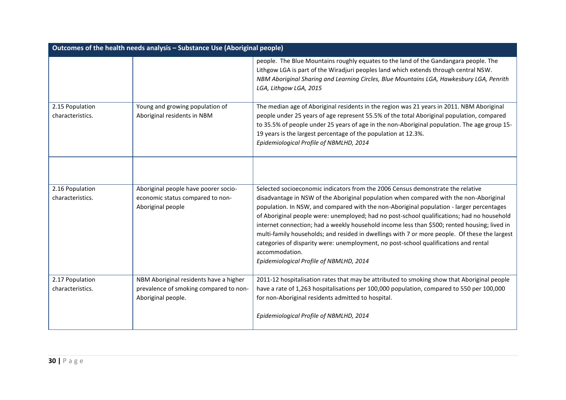| Outcomes of the health needs analysis - Substance Use (Aboriginal people) |                                                                                                        |                                                                                                                                                                                                                                                                                                                                                                                                                                                                                                                                                                                                                                                                                                                           |
|---------------------------------------------------------------------------|--------------------------------------------------------------------------------------------------------|---------------------------------------------------------------------------------------------------------------------------------------------------------------------------------------------------------------------------------------------------------------------------------------------------------------------------------------------------------------------------------------------------------------------------------------------------------------------------------------------------------------------------------------------------------------------------------------------------------------------------------------------------------------------------------------------------------------------------|
|                                                                           |                                                                                                        | people. The Blue Mountains roughly equates to the land of the Gandangara people. The<br>Lithgow LGA is part of the Wiradjuri peoples land which extends through central NSW.<br>NBM Aboriginal Sharing and Learning Circles, Blue Mountains LGA, Hawkesbury LGA, Penrith<br>LGA, Lithgow LGA, 2015                                                                                                                                                                                                                                                                                                                                                                                                                        |
| 2.15 Population<br>characteristics.                                       | Young and growing population of<br>Aboriginal residents in NBM                                         | The median age of Aboriginal residents in the region was 21 years in 2011. NBM Aboriginal<br>people under 25 years of age represent 55.5% of the total Aboriginal population, compared<br>to 35.5% of people under 25 years of age in the non-Aboriginal population. The age group 15-<br>19 years is the largest percentage of the population at 12.3%.<br>Epidemiological Profile of NBMLHD, 2014                                                                                                                                                                                                                                                                                                                       |
| 2.16 Population<br>characteristics.                                       | Aboriginal people have poorer socio-<br>economic status compared to non-<br>Aboriginal people          | Selected socioeconomic indicators from the 2006 Census demonstrate the relative<br>disadvantage in NSW of the Aboriginal population when compared with the non-Aboriginal<br>population. In NSW, and compared with the non-Aboriginal population - larger percentages<br>of Aboriginal people were: unemployed; had no post-school qualifications; had no household<br>internet connection; had a weekly household income less than \$500; rented housing; lived in<br>multi-family households; and resided in dwellings with 7 or more people. Of these the largest<br>categories of disparity were: unemployment, no post-school qualifications and rental<br>accommodation.<br>Epidemiological Profile of NBMLHD, 2014 |
| 2.17 Population<br>characteristics.                                       | NBM Aboriginal residents have a higher<br>prevalence of smoking compared to non-<br>Aboriginal people. | 2011-12 hospitalisation rates that may be attributed to smoking show that Aboriginal people<br>have a rate of 1,263 hospitalisations per 100,000 population, compared to 550 per 100,000<br>for non-Aboriginal residents admitted to hospital.<br>Epidemiological Profile of NBMLHD, 2014                                                                                                                                                                                                                                                                                                                                                                                                                                 |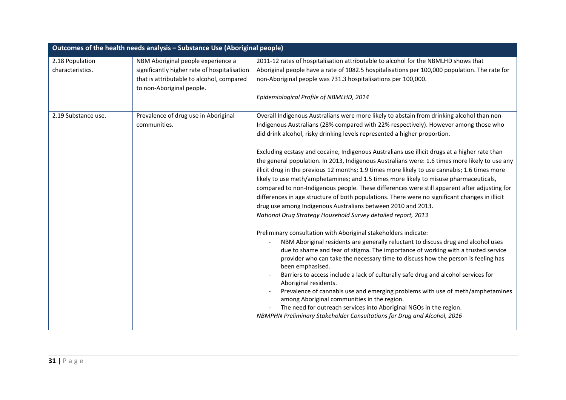| Outcomes of the health needs analysis - Substance Use (Aboriginal people) |                                                                                                                                                              |                                                                                                                                                                                                                                                                                                                                                                                                                                                                                                                                                                                                                                                                                                                                                                                                                                                                                                                                                                                                                                                                                                                                                                                                                                                                                                                                                                                                                                                                                                                                                                                                                                                                                                                                                        |
|---------------------------------------------------------------------------|--------------------------------------------------------------------------------------------------------------------------------------------------------------|--------------------------------------------------------------------------------------------------------------------------------------------------------------------------------------------------------------------------------------------------------------------------------------------------------------------------------------------------------------------------------------------------------------------------------------------------------------------------------------------------------------------------------------------------------------------------------------------------------------------------------------------------------------------------------------------------------------------------------------------------------------------------------------------------------------------------------------------------------------------------------------------------------------------------------------------------------------------------------------------------------------------------------------------------------------------------------------------------------------------------------------------------------------------------------------------------------------------------------------------------------------------------------------------------------------------------------------------------------------------------------------------------------------------------------------------------------------------------------------------------------------------------------------------------------------------------------------------------------------------------------------------------------------------------------------------------------------------------------------------------------|
| 2.18 Population<br>characteristics.                                       | NBM Aboriginal people experience a<br>significantly higher rate of hospitalisation<br>that is attributable to alcohol, compared<br>to non-Aboriginal people. | 2011-12 rates of hospitalisation attributable to alcohol for the NBMLHD shows that<br>Aboriginal people have a rate of 1082.5 hospitalisations per 100,000 population. The rate for<br>non-Aboriginal people was 731.3 hospitalisations per 100,000.<br>Epidemiological Profile of NBMLHD, 2014                                                                                                                                                                                                                                                                                                                                                                                                                                                                                                                                                                                                                                                                                                                                                                                                                                                                                                                                                                                                                                                                                                                                                                                                                                                                                                                                                                                                                                                        |
| 2.19 Substance use.                                                       | Prevalence of drug use in Aboriginal<br>communities.                                                                                                         | Overall Indigenous Australians were more likely to abstain from drinking alcohol than non-<br>Indigenous Australians (28% compared with 22% respectively). However among those who<br>did drink alcohol, risky drinking levels represented a higher proportion.<br>Excluding ecstasy and cocaine, Indigenous Australians use illicit drugs at a higher rate than<br>the general population. In 2013, Indigenous Australians were: 1.6 times more likely to use any<br>illicit drug in the previous 12 months; 1.9 times more likely to use cannabis; 1.6 times more<br>likely to use meth/amphetamines; and 1.5 times more likely to misuse pharmaceuticals,<br>compared to non-Indigenous people. These differences were still apparent after adjusting for<br>differences in age structure of both populations. There were no significant changes in illicit<br>drug use among Indigenous Australians between 2010 and 2013.<br>National Drug Strategy Household Survey detailed report, 2013<br>Preliminary consultation with Aboriginal stakeholders indicate:<br>NBM Aboriginal residents are generally reluctant to discuss drug and alcohol uses<br>due to shame and fear of stigma. The importance of working with a trusted service<br>provider who can take the necessary time to discuss how the person is feeling has<br>been emphasised.<br>Barriers to access include a lack of culturally safe drug and alcohol services for<br>Aboriginal residents.<br>Prevalence of cannabis use and emerging problems with use of meth/amphetamines<br>among Aboriginal communities in the region.<br>The need for outreach services into Aboriginal NGOs in the region.<br>NBMPHN Preliminary Stakeholder Consultations for Drug and Alcohol, 2016 |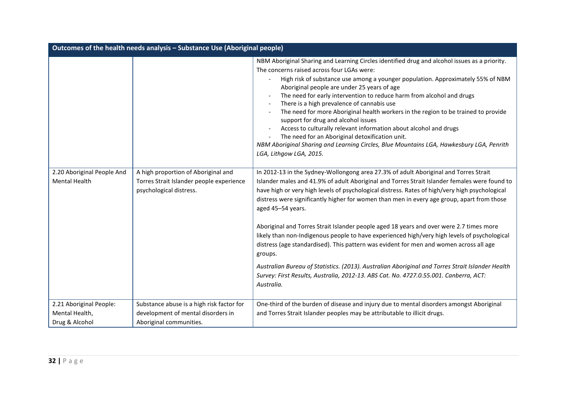| Outcomes of the health needs analysis - Substance Use (Aboriginal people) |                                                                                                            |                                                                                                                                                                                                                                                                                                                                                                                                                                                                                                                                                                                                                                                                                                                                                                                                                                                                                                                       |
|---------------------------------------------------------------------------|------------------------------------------------------------------------------------------------------------|-----------------------------------------------------------------------------------------------------------------------------------------------------------------------------------------------------------------------------------------------------------------------------------------------------------------------------------------------------------------------------------------------------------------------------------------------------------------------------------------------------------------------------------------------------------------------------------------------------------------------------------------------------------------------------------------------------------------------------------------------------------------------------------------------------------------------------------------------------------------------------------------------------------------------|
|                                                                           |                                                                                                            | NBM Aboriginal Sharing and Learning Circles identified drug and alcohol issues as a priority.<br>The concerns raised across four LGAs were:<br>High risk of substance use among a younger population. Approximately 55% of NBM<br>Aboriginal people are under 25 years of age<br>The need for early intervention to reduce harm from alcohol and drugs<br>There is a high prevalence of cannabis use<br>The need for more Aboriginal health workers in the region to be trained to provide<br>support for drug and alcohol issues<br>Access to culturally relevant information about alcohol and drugs<br>The need for an Aboriginal detoxification unit.<br>NBM Aboriginal Sharing and Learning Circles, Blue Mountains LGA, Hawkesbury LGA, Penrith<br>LGA, Lithgow LGA, 2015.                                                                                                                                      |
| 2.20 Aboriginal People And<br><b>Mental Health</b>                        | A high proportion of Aboriginal and<br>Torres Strait Islander people experience<br>psychological distress. | In 2012-13 in the Sydney-Wollongong area 27.3% of adult Aboriginal and Torres Strait<br>Islander males and 41.9% of adult Aboriginal and Torres Strait Islander females were found to<br>have high or very high levels of psychological distress. Rates of high/very high psychological<br>distress were significantly higher for women than men in every age group, apart from those<br>aged 45-54 years.<br>Aboriginal and Torres Strait Islander people aged 18 years and over were 2.7 times more<br>likely than non-Indigenous people to have experienced high/very high levels of psychological<br>distress (age standardised). This pattern was evident for men and women across all age<br>groups.<br>Australian Bureau of Statistics. (2013). Australian Aboriginal and Torres Strait Islander Health<br>Survey: First Results, Australia, 2012-13. ABS Cat. No. 4727.0.55.001. Canberra, ACT:<br>Australia. |
| 2.21 Aboriginal People:<br>Mental Health,                                 | Substance abuse is a high risk factor for<br>development of mental disorders in                            | One-third of the burden of disease and injury due to mental disorders amongst Aboriginal<br>and Torres Strait Islander peoples may be attributable to illicit drugs.                                                                                                                                                                                                                                                                                                                                                                                                                                                                                                                                                                                                                                                                                                                                                  |
| Drug & Alcohol                                                            | Aboriginal communities.                                                                                    |                                                                                                                                                                                                                                                                                                                                                                                                                                                                                                                                                                                                                                                                                                                                                                                                                                                                                                                       |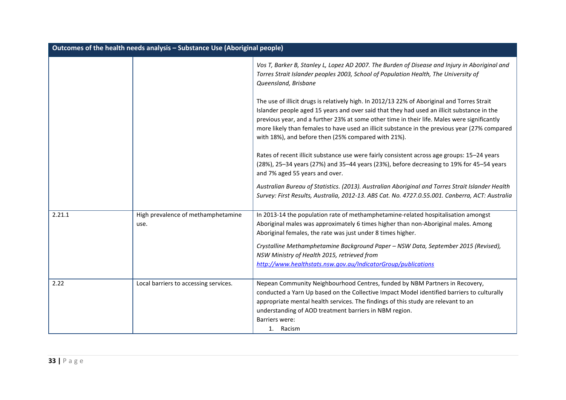| Outcomes of the health needs analysis - Substance Use (Aboriginal people) |                                            |                                                                                                                                                                                                                                                                                                                                                                                                                                                  |
|---------------------------------------------------------------------------|--------------------------------------------|--------------------------------------------------------------------------------------------------------------------------------------------------------------------------------------------------------------------------------------------------------------------------------------------------------------------------------------------------------------------------------------------------------------------------------------------------|
|                                                                           |                                            | Vos T, Barker B, Stanley L, Lopez AD 2007. The Burden of Disease and Injury in Aboriginal and<br>Torres Strait Islander peoples 2003, School of Population Health, The University of<br>Queensland, Brisbane                                                                                                                                                                                                                                     |
|                                                                           |                                            | The use of illicit drugs is relatively high. In 2012/13 22% of Aboriginal and Torres Strait<br>Islander people aged 15 years and over said that they had used an illicit substance in the<br>previous year, and a further 23% at some other time in their life. Males were significantly<br>more likely than females to have used an illicit substance in the previous year (27% compared<br>with 18%), and before then (25% compared with 21%). |
|                                                                           |                                            | Rates of recent illicit substance use were fairly consistent across age groups: 15-24 years<br>(28%), 25-34 years (27%) and 35-44 years (23%), before decreasing to 19% for 45-54 years<br>and 7% aged 55 years and over.                                                                                                                                                                                                                        |
|                                                                           |                                            | Australian Bureau of Statistics. (2013). Australian Aboriginal and Torres Strait Islander Health<br>Survey: First Results, Australia, 2012-13. ABS Cat. No. 4727.0.55.001. Canberra, ACT: Australia                                                                                                                                                                                                                                              |
| 2.21.1                                                                    | High prevalence of methamphetamine<br>use. | In 2013-14 the population rate of methamphetamine-related hospitalisation amongst<br>Aboriginal males was approximately 6 times higher than non-Aboriginal males. Among<br>Aboriginal females, the rate was just under 8 times higher.<br>Crystalline Methamphetamine Background Paper - NSW Data, September 2015 (Revised),                                                                                                                     |
|                                                                           |                                            | NSW Ministry of Health 2015, retrieved from<br>http://www.healthstats.nsw.gov.au/IndicatorGroup/publications                                                                                                                                                                                                                                                                                                                                     |
| 2.22                                                                      | Local barriers to accessing services.      | Nepean Community Neighbourhood Centres, funded by NBM Partners in Recovery,<br>conducted a Yarn Up based on the Collective Impact Model identified barriers to culturally<br>appropriate mental health services. The findings of this study are relevant to an<br>understanding of AOD treatment barriers in NBM region.<br>Barriers were:<br>1. Racism                                                                                          |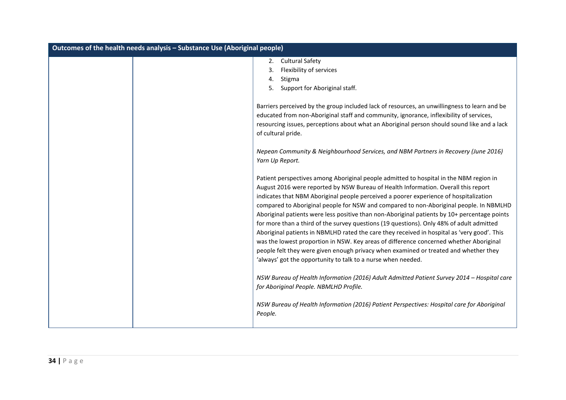| Outcomes of the health needs analysis - Substance Use (Aboriginal people) |                                                                                                                                                                                                                                                                                                                                                                                                                                                                                                                                                                                                                                                                                                                                                                                                                                                                                                              |  |
|---------------------------------------------------------------------------|--------------------------------------------------------------------------------------------------------------------------------------------------------------------------------------------------------------------------------------------------------------------------------------------------------------------------------------------------------------------------------------------------------------------------------------------------------------------------------------------------------------------------------------------------------------------------------------------------------------------------------------------------------------------------------------------------------------------------------------------------------------------------------------------------------------------------------------------------------------------------------------------------------------|--|
|                                                                           | <b>Cultural Safety</b><br>2.<br>Flexibility of services<br>3.<br>Stigma<br>4.<br>5. Support for Aboriginal staff.                                                                                                                                                                                                                                                                                                                                                                                                                                                                                                                                                                                                                                                                                                                                                                                            |  |
|                                                                           | Barriers perceived by the group included lack of resources, an unwillingness to learn and be<br>educated from non-Aboriginal staff and community, ignorance, inflexibility of services,<br>resourcing issues, perceptions about what an Aboriginal person should sound like and a lack<br>of cultural pride.                                                                                                                                                                                                                                                                                                                                                                                                                                                                                                                                                                                                 |  |
|                                                                           | Nepean Community & Neighbourhood Services, and NBM Partners in Recovery (June 2016)<br>Yarn Up Report.                                                                                                                                                                                                                                                                                                                                                                                                                                                                                                                                                                                                                                                                                                                                                                                                       |  |
|                                                                           | Patient perspectives among Aboriginal people admitted to hospital in the NBM region in<br>August 2016 were reported by NSW Bureau of Health Information. Overall this report<br>indicates that NBM Aboriginal people perceived a poorer experience of hospitalization<br>compared to Aboriginal people for NSW and compared to non-Aboriginal people. In NBMLHD<br>Aboriginal patients were less positive than non-Aboriginal patients by 10+ percentage points<br>for more than a third of the survey questions (19 questions). Only 48% of adult admitted<br>Aboriginal patients in NBMLHD rated the care they received in hospital as 'very good'. This<br>was the lowest proportion in NSW. Key areas of difference concerned whether Aboriginal<br>people felt they were given enough privacy when examined or treated and whether they<br>'always' got the opportunity to talk to a nurse when needed. |  |
|                                                                           | NSW Bureau of Health Information (2016) Adult Admitted Patient Survey 2014 - Hospital care<br>for Aboriginal People. NBMLHD Profile.                                                                                                                                                                                                                                                                                                                                                                                                                                                                                                                                                                                                                                                                                                                                                                         |  |
|                                                                           | NSW Bureau of Health Information (2016) Patient Perspectives: Hospital care for Aboriginal<br>People.                                                                                                                                                                                                                                                                                                                                                                                                                                                                                                                                                                                                                                                                                                                                                                                                        |  |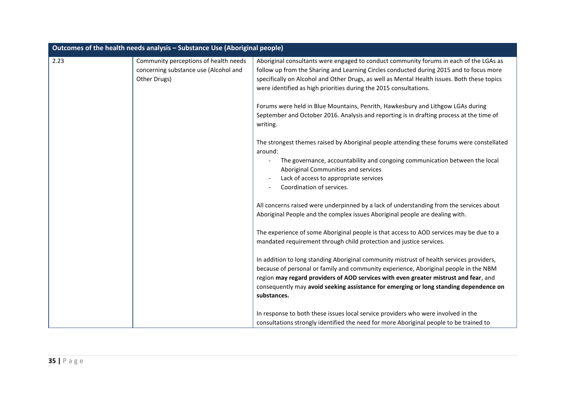|      | Outcomes of the health needs analysis - Substance Use (Aboriginal people)                      |                                                                                                                                                                                                                                                                                                                                                                                                                                          |
|------|------------------------------------------------------------------------------------------------|------------------------------------------------------------------------------------------------------------------------------------------------------------------------------------------------------------------------------------------------------------------------------------------------------------------------------------------------------------------------------------------------------------------------------------------|
| 2.23 | Community perceptions of health needs<br>concerning substance use (Alcohol and<br>Other Drugs) | Aboriginal consultants were engaged to conduct community forums in each of the LGAs as<br>follow up from the Sharing and Learning Circles conducted during 2015 and to focus more<br>specifically on Alcohol and Other Drugs, as well as Mental Health issues. Both these topics<br>were identified as high priorities during the 2015 consultations.<br>Forums were held in Blue Mountains, Penrith, Hawkesbury and Lithgow LGAs during |
|      |                                                                                                | September and October 2016. Analysis and reporting is in drafting process at the time of<br>writing.                                                                                                                                                                                                                                                                                                                                     |
|      |                                                                                                | The strongest themes raised by Aboriginal people attending these forums were constellated<br>around:                                                                                                                                                                                                                                                                                                                                     |
|      |                                                                                                | The governance, accountability and congoing communication between the local<br>Aboriginal Communities and services                                                                                                                                                                                                                                                                                                                       |
|      |                                                                                                | Lack of access to appropriate services<br>Coordination of services.                                                                                                                                                                                                                                                                                                                                                                      |
|      |                                                                                                | All concerns raised were underpinned by a lack of understanding from the services about<br>Aboriginal People and the complex issues Aboriginal people are dealing with.                                                                                                                                                                                                                                                                  |
|      |                                                                                                | The experience of some Aboriginal people is that access to AOD services may be due to a<br>mandated requirement through child protection and justice services.                                                                                                                                                                                                                                                                           |
|      |                                                                                                | In addition to long standing Aboriginal community mistrust of health services providers,<br>because of personal or family and community experience, Aboriginal people in the NBM<br>region may regard providers of AOD services with even greater mistrust and fear, and                                                                                                                                                                 |
|      |                                                                                                | consequently may avoid seeking assistance for emerging or long standing dependence on<br>substances.                                                                                                                                                                                                                                                                                                                                     |
|      |                                                                                                | In response to both these issues local service providers who were involved in the<br>consultations strongly identified the need for more Aboriginal people to be trained to                                                                                                                                                                                                                                                              |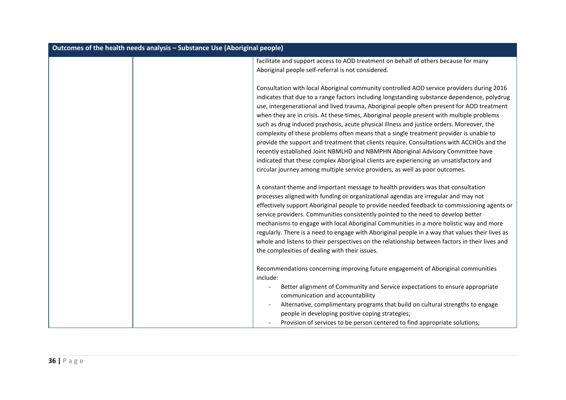| Outcomes of the health needs analysis - Substance Use (Aboriginal people) |                                                                                                                                                                                                                                                                                                                                                                                                                                                                                                                                                                                                                                                                                                                                                                                                                                                                                                                                     |  |
|---------------------------------------------------------------------------|-------------------------------------------------------------------------------------------------------------------------------------------------------------------------------------------------------------------------------------------------------------------------------------------------------------------------------------------------------------------------------------------------------------------------------------------------------------------------------------------------------------------------------------------------------------------------------------------------------------------------------------------------------------------------------------------------------------------------------------------------------------------------------------------------------------------------------------------------------------------------------------------------------------------------------------|--|
|                                                                           | facilitate and support access to AOD treatment on behalf of others because for many                                                                                                                                                                                                                                                                                                                                                                                                                                                                                                                                                                                                                                                                                                                                                                                                                                                 |  |
|                                                                           | Aboriginal people self-referral is not considered.                                                                                                                                                                                                                                                                                                                                                                                                                                                                                                                                                                                                                                                                                                                                                                                                                                                                                  |  |
|                                                                           | Consultation with local Aboriginal community controlled AOD service providers during 2016<br>indicates that due to a range factors including longstanding substance dependence, polydrug<br>use, intergenerational and lived trauma, Aboriginal people often present for AOD treatment<br>when they are in crisis. At these times, Aboriginal people present with multiple problems<br>such as drug induced psychosis, acute physical illness and justice orders. Moreover, the<br>complexity of these problems often means that a single treatment provider is unable to<br>provide the support and treatment that clients require. Consultations with ACCHOs and the<br>recently established Joint NBMLHD and NBMPHN Aboriginal Advisory Committee have<br>indicated that these complex Aboriginal clients are experiencing an unsatisfactory and<br>circular journey among multiple service providers, as well as poor outcomes. |  |
|                                                                           | A constant theme and important message to health providers was that consultation<br>processes aligned with funding or organizational agendas are irregular and may not<br>effectively support Aboriginal people to provide needed feedback to commissioning agents or<br>service providers. Communities consistently pointed to the need to develop better<br>mechanisms to engage with local Aboriginal Communities in a more holistic way and more<br>regularly. There is a need to engage with Aboriginal people in a way that values their lives as<br>whole and listens to their perspectives on the relationship between factors in their lives and<br>the complexities of dealing with their issues.                                                                                                                                                                                                                         |  |
|                                                                           | Recommendations concerning improving future engagement of Aboriginal communities<br>include:<br>Better alignment of Community and Service expectations to ensure appropriate<br>communication and accountability<br>Alternative, complimentary programs that build on cultural strengths to engage<br>people in developing positive coping strategies;<br>Provision of services to be person centered to find appropriate solutions;                                                                                                                                                                                                                                                                                                                                                                                                                                                                                                |  |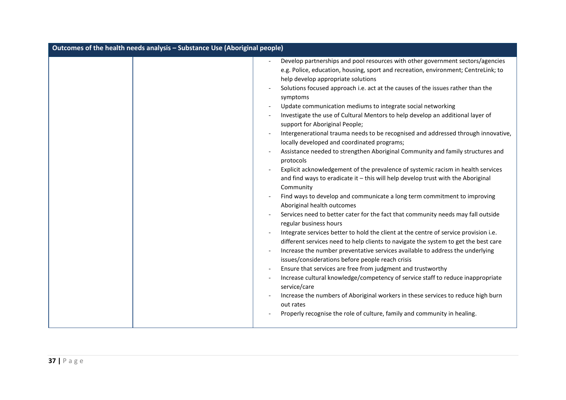| Develop partnerships and pool resources with other government sectors/agencies<br>e.g. Police, education, housing, sport and recreation, environment; CentreLink; to                                                                                                                                                                                                                                                                                                                                                                                                                                                                                                                                                                                                                                                                                                                                                                                                                                                                                                                                                                                                                                                                                                                                                                                                                                                                                                                                         | Outcomes of the health needs analysis - Substance Use (Aboriginal people) |                                                                                                                         |  |
|--------------------------------------------------------------------------------------------------------------------------------------------------------------------------------------------------------------------------------------------------------------------------------------------------------------------------------------------------------------------------------------------------------------------------------------------------------------------------------------------------------------------------------------------------------------------------------------------------------------------------------------------------------------------------------------------------------------------------------------------------------------------------------------------------------------------------------------------------------------------------------------------------------------------------------------------------------------------------------------------------------------------------------------------------------------------------------------------------------------------------------------------------------------------------------------------------------------------------------------------------------------------------------------------------------------------------------------------------------------------------------------------------------------------------------------------------------------------------------------------------------------|---------------------------------------------------------------------------|-------------------------------------------------------------------------------------------------------------------------|--|
| Solutions focused approach i.e. act at the causes of the issues rather than the<br>symptoms<br>Update communication mediums to integrate social networking<br>Investigate the use of Cultural Mentors to help develop an additional layer of<br>support for Aboriginal People;<br>locally developed and coordinated programs;<br>Assistance needed to strengthen Aboriginal Community and family structures and<br>protocols<br>Explicit acknowledgement of the prevalence of systemic racism in health services<br>and find ways to eradicate it - this will help develop trust with the Aboriginal<br>Community<br>Find ways to develop and communicate a long term commitment to improving<br>Aboriginal health outcomes<br>Services need to better cater for the fact that community needs may fall outside<br>regular business hours<br>Integrate services better to hold the client at the centre of service provision i.e.<br>different services need to help clients to navigate the system to get the best care<br>Increase the number preventative services available to address the underlying<br>issues/considerations before people reach crisis<br>Ensure that services are free from judgment and trustworthy<br>Increase cultural knowledge/competency of service staff to reduce inappropriate<br>service/care<br>Increase the numbers of Aboriginal workers in these services to reduce high burn<br>out rates<br>Properly recognise the role of culture, family and community in healing. |                                                                           | help develop appropriate solutions<br>Intergenerational trauma needs to be recognised and addressed through innovative, |  |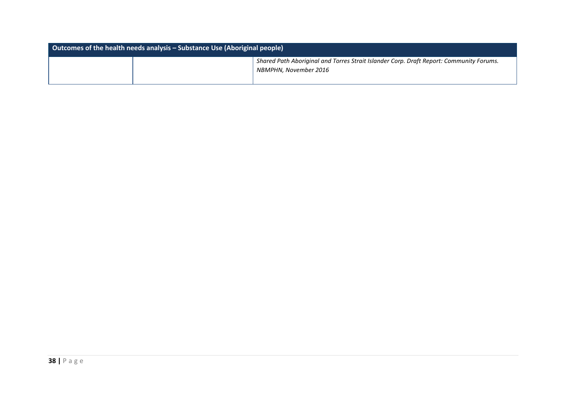| Outcomes of the health needs analysis – Substance Use (Aboriginal people) |  |                                                                                                                  |
|---------------------------------------------------------------------------|--|------------------------------------------------------------------------------------------------------------------|
|                                                                           |  | Shared Path Aboriginal and Torres Strait Islander Corp. Draft Report: Community Forums.<br>NBMPHN. November 2016 |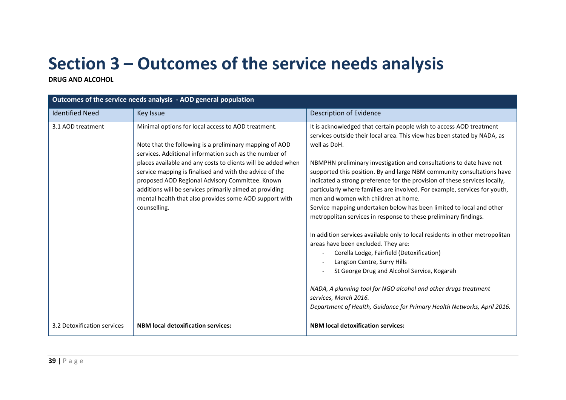## **Section 3 – Outcomes of the service needs analysis**

**DRUG AND ALCOHOL**

| Outcomes of the service needs analysis - AOD general population |                                                                                                                                                                                                                                                                                                                                                                                                                                                                                            |                                                                                                                                                                                                                                                                                                                                                                                                                                                                                                                                                                                                                                                                                                                                                                                                                                                                                                                                                                                                                                                                                           |
|-----------------------------------------------------------------|--------------------------------------------------------------------------------------------------------------------------------------------------------------------------------------------------------------------------------------------------------------------------------------------------------------------------------------------------------------------------------------------------------------------------------------------------------------------------------------------|-------------------------------------------------------------------------------------------------------------------------------------------------------------------------------------------------------------------------------------------------------------------------------------------------------------------------------------------------------------------------------------------------------------------------------------------------------------------------------------------------------------------------------------------------------------------------------------------------------------------------------------------------------------------------------------------------------------------------------------------------------------------------------------------------------------------------------------------------------------------------------------------------------------------------------------------------------------------------------------------------------------------------------------------------------------------------------------------|
| <b>Identified Need</b>                                          | <b>Key Issue</b>                                                                                                                                                                                                                                                                                                                                                                                                                                                                           | Description of Evidence                                                                                                                                                                                                                                                                                                                                                                                                                                                                                                                                                                                                                                                                                                                                                                                                                                                                                                                                                                                                                                                                   |
| 3.1 AOD treatment                                               | Minimal options for local access to AOD treatment.<br>Note that the following is a preliminary mapping of AOD<br>services. Additional information such as the number of<br>places available and any costs to clients will be added when<br>service mapping is finalised and with the advice of the<br>proposed AOD Regional Advisory Committee. Known<br>additions will be services primarily aimed at providing<br>mental health that also provides some AOD support with<br>counselling. | It is acknowledged that certain people wish to access AOD treatment<br>services outside their local area. This view has been stated by NADA, as<br>well as DoH.<br>NBMPHN preliminary investigation and consultations to date have not<br>supported this position. By and large NBM community consultations have<br>indicated a strong preference for the provision of these services locally,<br>particularly where families are involved. For example, services for youth,<br>men and women with children at home.<br>Service mapping undertaken below has been limited to local and other<br>metropolitan services in response to these preliminary findings.<br>In addition services available only to local residents in other metropolitan<br>areas have been excluded. They are:<br>Corella Lodge, Fairfield (Detoxification)<br>Langton Centre, Surry Hills<br>St George Drug and Alcohol Service, Kogarah<br>NADA, A planning tool for NGO alcohol and other drugs treatment<br>services, March 2016.<br>Department of Health, Guidance for Primary Health Networks, April 2016. |
| 3.2 Detoxification services                                     | <b>NBM local detoxification services:</b>                                                                                                                                                                                                                                                                                                                                                                                                                                                  | <b>NBM local detoxification services:</b>                                                                                                                                                                                                                                                                                                                                                                                                                                                                                                                                                                                                                                                                                                                                                                                                                                                                                                                                                                                                                                                 |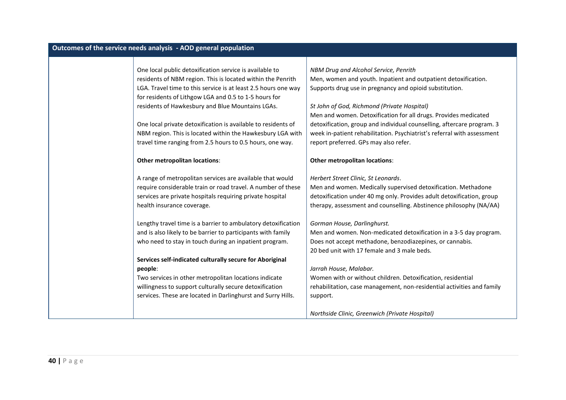| Outcomes of the service needs analysis - AOD general population                                                               |                                                                                                                           |
|-------------------------------------------------------------------------------------------------------------------------------|---------------------------------------------------------------------------------------------------------------------------|
|                                                                                                                               |                                                                                                                           |
| One local public detoxification service is available to                                                                       | NBM Drug and Alcohol Service, Penrith                                                                                     |
| residents of NBM region. This is located within the Penrith<br>LGA. Travel time to this service is at least 2.5 hours one way | Men, women and youth. Inpatient and outpatient detoxification.<br>Supports drug use in pregnancy and opioid substitution. |
| for residents of Lithgow LGA and 0.5 to 1-5 hours for                                                                         |                                                                                                                           |
| residents of Hawkesbury and Blue Mountains LGAs.                                                                              | St John of God, Richmond (Private Hospital)                                                                               |
|                                                                                                                               | Men and women. Detoxification for all drugs. Provides medicated                                                           |
| One local private detoxification is available to residents of                                                                 | detoxification, group and individual counselling, aftercare program. 3                                                    |
| NBM region. This is located within the Hawkesbury LGA with                                                                    | week in-patient rehabilitation. Psychiatrist's referral with assessment                                                   |
| travel time ranging from 2.5 hours to 0.5 hours, one way.                                                                     | report preferred. GPs may also refer.                                                                                     |
|                                                                                                                               |                                                                                                                           |
| <b>Other metropolitan locations:</b>                                                                                          | Other metropolitan locations:                                                                                             |
| A range of metropolitan services are available that would                                                                     | Herbert Street Clinic, St Leonards.                                                                                       |
| require considerable train or road travel. A number of these                                                                  | Men and women. Medically supervised detoxification. Methadone                                                             |
| services are private hospitals requiring private hospital                                                                     | detoxification under 40 mg only. Provides adult detoxification, group                                                     |
| health insurance coverage.                                                                                                    | therapy, assessment and counselling. Abstinence philosophy (NA/AA)                                                        |
| Lengthy travel time is a barrier to ambulatory detoxification                                                                 | Gorman House, Darlinghurst.                                                                                               |
| and is also likely to be barrier to participants with family                                                                  | Men and women. Non-medicated detoxification in a 3-5 day program.                                                         |
| who need to stay in touch during an inpatient program.                                                                        | Does not accept methadone, benzodiazepines, or cannabis.                                                                  |
|                                                                                                                               | 20 bed unit with 17 female and 3 male beds.                                                                               |
| Services self-indicated culturally secure for Aboriginal                                                                      |                                                                                                                           |
| people:                                                                                                                       | Jarrah House, Malabar.                                                                                                    |
| Two services in other metropolitan locations indicate                                                                         | Women with or without children. Detoxification, residential                                                               |
| willingness to support culturally secure detoxification                                                                       | rehabilitation, case management, non-residential activities and family                                                    |
| services. These are located in Darlinghurst and Surry Hills.                                                                  | support.                                                                                                                  |
|                                                                                                                               | Northside Clinic, Greenwich (Private Hospital)                                                                            |
|                                                                                                                               |                                                                                                                           |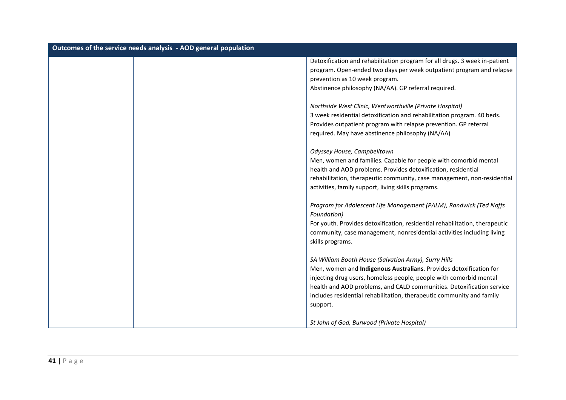| Outcomes of the service needs analysis - AOD general population |                                                                             |
|-----------------------------------------------------------------|-----------------------------------------------------------------------------|
|                                                                 | Detoxification and rehabilitation program for all drugs. 3 week in-patient  |
|                                                                 | program. Open-ended two days per week outpatient program and relapse        |
|                                                                 | prevention as 10 week program.                                              |
|                                                                 | Abstinence philosophy (NA/AA). GP referral required.                        |
|                                                                 | Northside West Clinic, Wentworthville (Private Hospital)                    |
|                                                                 | 3 week residential detoxification and rehabilitation program. 40 beds.      |
|                                                                 | Provides outpatient program with relapse prevention. GP referral            |
|                                                                 | required. May have abstinence philosophy (NA/AA)                            |
|                                                                 | Odyssey House, Campbelltown                                                 |
|                                                                 | Men, women and families. Capable for people with comorbid mental            |
|                                                                 | health and AOD problems. Provides detoxification, residential               |
|                                                                 | rehabilitation, therapeutic community, case management, non-residential     |
|                                                                 | activities, family support, living skills programs.                         |
|                                                                 | Program for Adolescent Life Management (PALM), Randwick (Ted Noffs          |
|                                                                 | Foundation)                                                                 |
|                                                                 | For youth. Provides detoxification, residential rehabilitation, therapeutic |
|                                                                 | community, case management, nonresidential activities including living      |
|                                                                 | skills programs.                                                            |
|                                                                 | SA William Booth House (Salvation Army), Surry Hills                        |
|                                                                 | Men, women and Indigenous Australians. Provides detoxification for          |
|                                                                 | injecting drug users, homeless people, people with comorbid mental          |
|                                                                 | health and AOD problems, and CALD communities. Detoxification service       |
|                                                                 | includes residential rehabilitation, therapeutic community and family       |
|                                                                 | support.                                                                    |
|                                                                 | St John of God, Burwood (Private Hospital)                                  |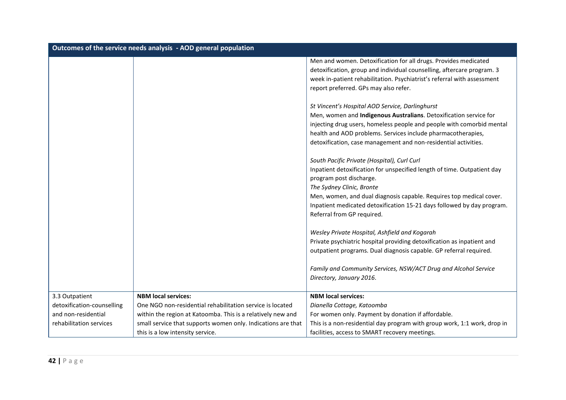|                            | Outcomes of the service needs analysis - AOD general population |                                                                                                                                       |
|----------------------------|-----------------------------------------------------------------|---------------------------------------------------------------------------------------------------------------------------------------|
|                            |                                                                 | Men and women. Detoxification for all drugs. Provides medicated                                                                       |
|                            |                                                                 | detoxification, group and individual counselling, aftercare program. 3                                                                |
|                            |                                                                 | week in-patient rehabilitation. Psychiatrist's referral with assessment                                                               |
|                            |                                                                 | report preferred. GPs may also refer.                                                                                                 |
|                            |                                                                 |                                                                                                                                       |
|                            |                                                                 | St Vincent's Hospital AOD Service, Darlinghurst                                                                                       |
|                            |                                                                 | Men, women and Indigenous Australians. Detoxification service for                                                                     |
|                            |                                                                 | injecting drug users, homeless people and people with comorbid mental<br>health and AOD problems. Services include pharmacotherapies, |
|                            |                                                                 | detoxification, case management and non-residential activities.                                                                       |
|                            |                                                                 |                                                                                                                                       |
|                            |                                                                 | South Pacific Private (Hospital), Curl Curl                                                                                           |
|                            |                                                                 | Inpatient detoxification for unspecified length of time. Outpatient day                                                               |
|                            |                                                                 | program post discharge.                                                                                                               |
|                            |                                                                 | The Sydney Clinic, Bronte                                                                                                             |
|                            |                                                                 | Men, women, and dual diagnosis capable. Requires top medical cover.                                                                   |
|                            |                                                                 | Inpatient medicated detoxification 15-21 days followed by day program.                                                                |
|                            |                                                                 | Referral from GP required.                                                                                                            |
|                            |                                                                 | Wesley Private Hospital, Ashfield and Kogarah                                                                                         |
|                            |                                                                 | Private psychiatric hospital providing detoxification as inpatient and                                                                |
|                            |                                                                 | outpatient programs. Dual diagnosis capable. GP referral required.                                                                    |
|                            |                                                                 |                                                                                                                                       |
|                            |                                                                 | Family and Community Services, NSW/ACT Drug and Alcohol Service                                                                       |
|                            |                                                                 | Directory, January 2016.                                                                                                              |
|                            |                                                                 |                                                                                                                                       |
| 3.3 Outpatient             | <b>NBM local services:</b>                                      | <b>NBM local services:</b>                                                                                                            |
| detoxification-counselling | One NGO non-residential rehabilitation service is located       | Dianella Cottage, Katoomba                                                                                                            |
| and non-residential        | within the region at Katoomba. This is a relatively new and     | For women only. Payment by donation if affordable.                                                                                    |
| rehabilitation services    | small service that supports women only. Indications are that    | This is a non-residential day program with group work, 1:1 work, drop in                                                              |
|                            | this is a low intensity service.                                | facilities, access to SMART recovery meetings.                                                                                        |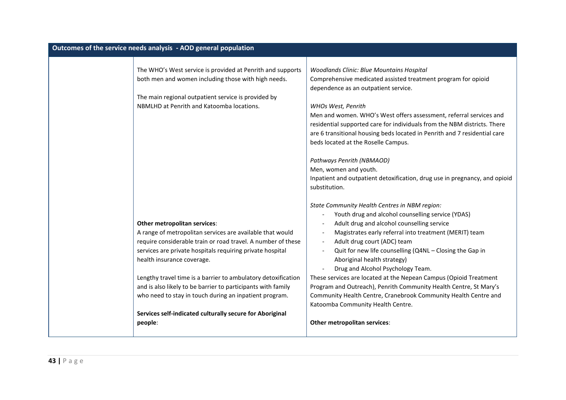| Outcomes of the service needs analysis - AOD general population |                                                                                                                                                                                                                                                                                                                                                                                                                                                                                                                        |                                                                                                                                                                                                                                                                                                                                                                                                                                                                                                                                                                                                                                                                              |
|-----------------------------------------------------------------|------------------------------------------------------------------------------------------------------------------------------------------------------------------------------------------------------------------------------------------------------------------------------------------------------------------------------------------------------------------------------------------------------------------------------------------------------------------------------------------------------------------------|------------------------------------------------------------------------------------------------------------------------------------------------------------------------------------------------------------------------------------------------------------------------------------------------------------------------------------------------------------------------------------------------------------------------------------------------------------------------------------------------------------------------------------------------------------------------------------------------------------------------------------------------------------------------------|
|                                                                 | The WHO's West service is provided at Penrith and supports<br>both men and women including those with high needs.<br>The main regional outpatient service is provided by<br>NBMLHD at Penrith and Katoomba locations.                                                                                                                                                                                                                                                                                                  | Woodlands Clinic: Blue Mountains Hospital<br>Comprehensive medicated assisted treatment program for opioid<br>dependence as an outpatient service.<br>WHOs West, Penrith<br>Men and women. WHO's West offers assessment, referral services and<br>residential supported care for individuals from the NBM districts. There<br>are 6 transitional housing beds located in Penrith and 7 residential care<br>beds located at the Roselle Campus.<br>Pathways Penrith (NBMAOD)<br>Men, women and youth.<br>Inpatient and outpatient detoxification, drug use in pregnancy, and opioid                                                                                           |
|                                                                 | Other metropolitan services:<br>A range of metropolitan services are available that would<br>require considerable train or road travel. A number of these<br>services are private hospitals requiring private hospital<br>health insurance coverage.<br>Lengthy travel time is a barrier to ambulatory detoxification<br>and is also likely to be barrier to participants with family<br>who need to stay in touch during an inpatient program.<br>Services self-indicated culturally secure for Aboriginal<br>people: | substitution.<br>State Community Health Centres in NBM region:<br>Youth drug and alcohol counselling service (YDAS)<br>Adult drug and alcohol counselling service<br>Magistrates early referral into treatment (MERIT) team<br>Adult drug court (ADC) team<br>Quit for new life counselling (Q4NL - Closing the Gap in<br>Aboriginal health strategy)<br>Drug and Alcohol Psychology Team.<br>These services are located at the Nepean Campus (Opioid Treatment<br>Program and Outreach), Penrith Community Health Centre, St Mary's<br>Community Health Centre, Cranebrook Community Health Centre and<br>Katoomba Community Health Centre.<br>Other metropolitan services: |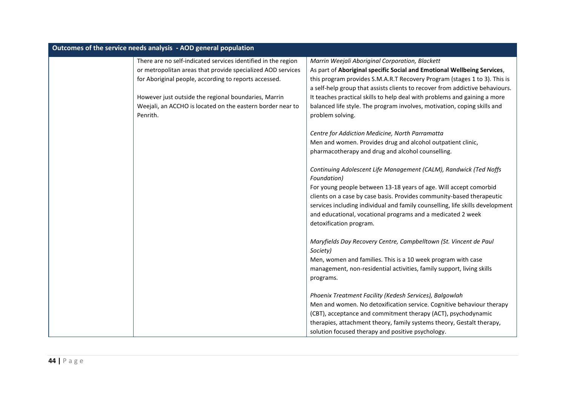| Outcomes of the service needs analysis - AOD general population |                                                                        |                                                                                              |
|-----------------------------------------------------------------|------------------------------------------------------------------------|----------------------------------------------------------------------------------------------|
|                                                                 | There are no self-indicated services identified in the region          | Marrin Weejali Aboriginal Corporation, Blackett                                              |
|                                                                 | or metropolitan areas that provide specialized AOD services            | As part of Aboriginal specific Social and Emotional Wellbeing Services,                      |
|                                                                 | for Aboriginal people, according to reports accessed.                  | this program provides S.M.A.R.T Recovery Program (stages 1 to 3). This is                    |
|                                                                 |                                                                        | a self-help group that assists clients to recover from addictive behaviours.                 |
|                                                                 | However just outside the regional boundaries, Marrin                   | It teaches practical skills to help deal with problems and gaining a more                    |
|                                                                 | Weejali, an ACCHO is located on the eastern border near to<br>Penrith. | balanced life style. The program involves, motivation, coping skills and<br>problem solving. |
|                                                                 |                                                                        | Centre for Addiction Medicine, North Parramatta                                              |
|                                                                 |                                                                        | Men and women. Provides drug and alcohol outpatient clinic,                                  |
|                                                                 |                                                                        | pharmacotherapy and drug and alcohol counselling.                                            |
|                                                                 |                                                                        | Continuing Adolescent Life Management (CALM), Randwick (Ted Noffs<br>Foundation)             |
|                                                                 |                                                                        | For young people between 13-18 years of age. Will accept comorbid                            |
|                                                                 |                                                                        | clients on a case by case basis. Provides community-based therapeutic                        |
|                                                                 |                                                                        | services including individual and family counselling, life skills development                |
|                                                                 |                                                                        | and educational, vocational programs and a medicated 2 week                                  |
|                                                                 |                                                                        | detoxification program.                                                                      |
|                                                                 |                                                                        | Maryfields Day Recovery Centre, Campbelltown (St. Vincent de Paul                            |
|                                                                 |                                                                        | Society)                                                                                     |
|                                                                 |                                                                        | Men, women and families. This is a 10 week program with case                                 |
|                                                                 |                                                                        | management, non-residential activities, family support, living skills                        |
|                                                                 |                                                                        | programs.                                                                                    |
|                                                                 |                                                                        | Phoenix Treatment Facility (Kedesh Services), Balgowlah                                      |
|                                                                 |                                                                        | Men and women. No detoxification service. Cognitive behaviour therapy                        |
|                                                                 |                                                                        | (CBT), acceptance and commitment therapy (ACT), psychodynamic                                |
|                                                                 |                                                                        | therapies, attachment theory, family systems theory, Gestalt therapy,                        |
|                                                                 |                                                                        | solution focused therapy and positive psychology.                                            |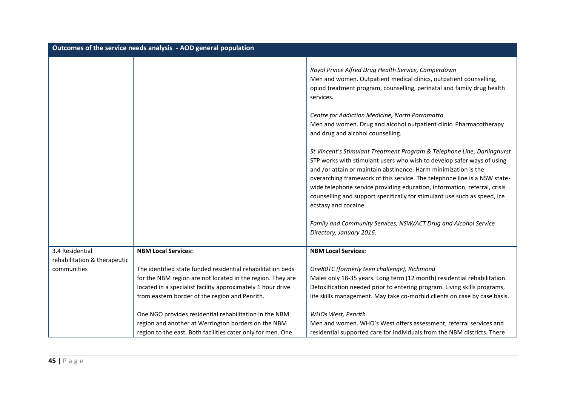| Outcomes of the service needs analysis - AOD general population |                                                                                                                                                                                                                                            |                                                                                                                                                                                                                                                                                                                                                                                                                                                                                     |
|-----------------------------------------------------------------|--------------------------------------------------------------------------------------------------------------------------------------------------------------------------------------------------------------------------------------------|-------------------------------------------------------------------------------------------------------------------------------------------------------------------------------------------------------------------------------------------------------------------------------------------------------------------------------------------------------------------------------------------------------------------------------------------------------------------------------------|
|                                                                 |                                                                                                                                                                                                                                            | Royal Prince Alfred Drug Health Service, Camperdown<br>Men and women. Outpatient medical clinics, outpatient counselling,<br>opiod treatment program, counselling, perinatal and family drug health<br>services.                                                                                                                                                                                                                                                                    |
|                                                                 |                                                                                                                                                                                                                                            | Centre for Addiction Medicine, North Parramatta<br>Men and women. Drug and alcohol outpatient clinic. Pharmacotherapy<br>and drug and alcohol counselling.                                                                                                                                                                                                                                                                                                                          |
|                                                                 |                                                                                                                                                                                                                                            | St Vincent's Stimulant Treatment Program & Telephone Line, Darlinghurst<br>STP works with stimulant users who wish to develop safer ways of using<br>and /or attain or maintain abstinence. Harm minimization is the<br>overarching framework of this service. The telephone line is a NSW state-<br>wide telephone service providing education, information, referral, crisis<br>counselling and support specifically for stimulant use such as speed, ice<br>ecstasy and cocaine. |
|                                                                 |                                                                                                                                                                                                                                            | Family and Community Services, NSW/ACT Drug and Alcohol Service<br>Directory, January 2016.                                                                                                                                                                                                                                                                                                                                                                                         |
| 3.4 Residential<br>rehabilitation & therapeutic                 | <b>NBM Local Services:</b>                                                                                                                                                                                                                 | <b>NBM Local Services:</b>                                                                                                                                                                                                                                                                                                                                                                                                                                                          |
| communities                                                     | The identified state funded residential rehabilitation beds<br>for the NBM region are not located in the region. They are<br>located in a specialist facility approximately 1 hour drive<br>from eastern border of the region and Penrith. | One80TC (formerly teen challenge), Richmond<br>Males only 18-35 years. Long term (12 month) residential rehabilitation.<br>Detoxification needed prior to entering program. Living skills programs,<br>life skills management. May take co-morbid clients on case by case basis.                                                                                                                                                                                                    |
|                                                                 | One NGO provides residential rehabilitation in the NBM<br>region and another at Werrington borders on the NBM<br>region to the east. Both facilities cater only for men. One                                                               | WHOs West, Penrith<br>Men and women. WHO's West offers assessment, referral services and<br>residential supported care for individuals from the NBM districts. There                                                                                                                                                                                                                                                                                                                |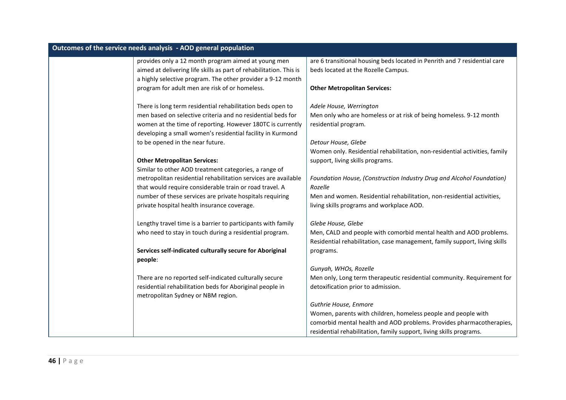| Outcomes of the service needs analysis - AOD general population    |                                                                            |
|--------------------------------------------------------------------|----------------------------------------------------------------------------|
| provides only a 12 month program aimed at young men                | are 6 transitional housing beds located in Penrith and 7 residential care  |
| aimed at delivering life skills as part of rehabilitation. This is | beds located at the Rozelle Campus.                                        |
| a highly selective program. The other provider a 9-12 month        |                                                                            |
| program for adult men are risk of or homeless.                     | <b>Other Metropolitan Services:</b>                                        |
| There is long term residential rehabilitation beds open to         | Adele House, Werrington                                                    |
| men based on selective criteria and no residential beds for        | Men only who are homeless or at risk of being homeless. 9-12 month         |
| women at the time of reporting. However 180TC is currently         | residential program.                                                       |
| developing a small women's residential facility in Kurmond         |                                                                            |
| to be opened in the near future.                                   | Detour House, Glebe                                                        |
|                                                                    | Women only. Residential rehabilitation, non-residential activities, family |
| <b>Other Metropolitan Services:</b>                                | support, living skills programs.                                           |
| Similar to other AOD treatment categories, a range of              |                                                                            |
| metropolitan residential rehabilitation services are available     | Foundation House, (Construction Industry Drug and Alcohol Foundation)      |
| that would require considerable train or road travel. A            | Rozelle                                                                    |
| number of these services are private hospitals requiring           | Men and women. Residential rehabilitation, non-residential activities,     |
| private hospital health insurance coverage.                        | living skills programs and workplace AOD.                                  |
| Lengthy travel time is a barrier to participants with family       | Glebe House, Glebe                                                         |
| who need to stay in touch during a residential program.            | Men, CALD and people with comorbid mental health and AOD problems.         |
|                                                                    | Residential rehabilitation, case management, family support, living skills |
| Services self-indicated culturally secure for Aboriginal           | programs.                                                                  |
| people:                                                            |                                                                            |
|                                                                    | Gunyah, WHOs, Rozelle                                                      |
| There are no reported self-indicated culturally secure             | Men only, Long term therapeutic residential community. Requirement for     |
| residential rehabilitation beds for Aboriginal people in           | detoxification prior to admission.                                         |
| metropolitan Sydney or NBM region.                                 |                                                                            |
|                                                                    | Guthrie House, Enmore                                                      |
|                                                                    | Women, parents with children, homeless people and people with              |
|                                                                    | comorbid mental health and AOD problems. Provides pharmacotherapies,       |
|                                                                    | residential rehabilitation, family support, living skills programs.        |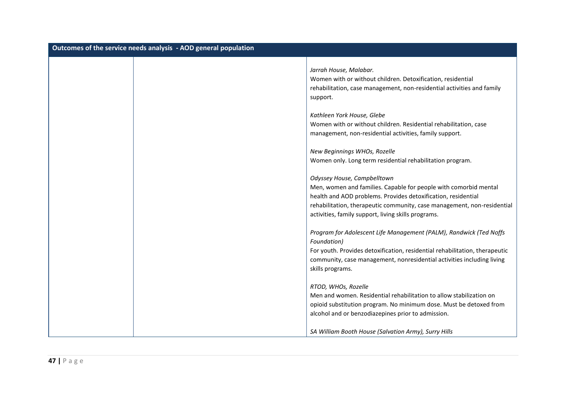| Outcomes of the service needs analysis - AOD general population |                                                                                                                                                                                                                                                                                                    |  |
|-----------------------------------------------------------------|----------------------------------------------------------------------------------------------------------------------------------------------------------------------------------------------------------------------------------------------------------------------------------------------------|--|
|                                                                 | Jarrah House, Malabar.<br>Women with or without children. Detoxification, residential<br>rehabilitation, case management, non-residential activities and family<br>support.                                                                                                                        |  |
|                                                                 | Kathleen York House, Glebe<br>Women with or without children. Residential rehabilitation, case<br>management, non-residential activities, family support.                                                                                                                                          |  |
|                                                                 | New Beginnings WHOs, Rozelle<br>Women only. Long term residential rehabilitation program.                                                                                                                                                                                                          |  |
|                                                                 | Odyssey House, Campbelltown<br>Men, women and families. Capable for people with comorbid mental<br>health and AOD problems. Provides detoxification, residential<br>rehabilitation, therapeutic community, case management, non-residential<br>activities, family support, living skills programs. |  |
|                                                                 | Program for Adolescent Life Management (PALM), Randwick (Ted Noffs<br>Foundation)<br>For youth. Provides detoxification, residential rehabilitation, therapeutic<br>community, case management, nonresidential activities including living<br>skills programs.                                     |  |
|                                                                 | RTOD, WHOs, Rozelle<br>Men and women. Residential rehabilitation to allow stabilization on<br>opioid substitution program. No minimum dose. Must be detoxed from<br>alcohol and or benzodiazepines prior to admission.                                                                             |  |
|                                                                 | SA William Booth House (Salvation Army), Surry Hills                                                                                                                                                                                                                                               |  |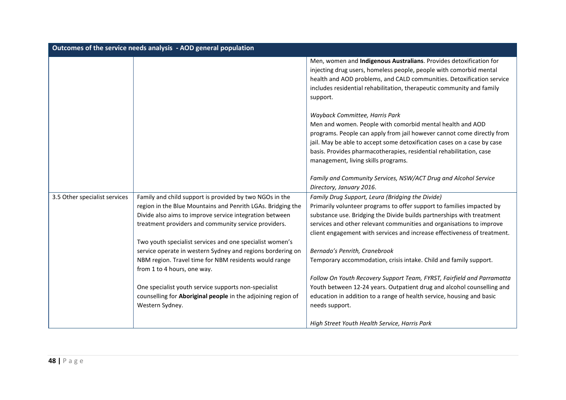| Outcomes of the service needs analysis - AOD general population |                                                                                                                                                                                                                                                                                                                                                                                                                                                                                                                                                                                                        |                                                                                                                                                                                                                                                                                                                                                                                                                                                                                                                                                                                                                                                                                                             |
|-----------------------------------------------------------------|--------------------------------------------------------------------------------------------------------------------------------------------------------------------------------------------------------------------------------------------------------------------------------------------------------------------------------------------------------------------------------------------------------------------------------------------------------------------------------------------------------------------------------------------------------------------------------------------------------|-------------------------------------------------------------------------------------------------------------------------------------------------------------------------------------------------------------------------------------------------------------------------------------------------------------------------------------------------------------------------------------------------------------------------------------------------------------------------------------------------------------------------------------------------------------------------------------------------------------------------------------------------------------------------------------------------------------|
|                                                                 |                                                                                                                                                                                                                                                                                                                                                                                                                                                                                                                                                                                                        | Men, women and Indigenous Australians. Provides detoxification for<br>injecting drug users, homeless people, people with comorbid mental<br>health and AOD problems, and CALD communities. Detoxification service<br>includes residential rehabilitation, therapeutic community and family<br>support.                                                                                                                                                                                                                                                                                                                                                                                                      |
|                                                                 |                                                                                                                                                                                                                                                                                                                                                                                                                                                                                                                                                                                                        | Wayback Committee, Harris Park<br>Men and women. People with comorbid mental health and AOD<br>programs. People can apply from jail however cannot come directly from<br>jail. May be able to accept some detoxification cases on a case by case<br>basis. Provides pharmacotherapies, residential rehabilitation, case<br>management, living skills programs.                                                                                                                                                                                                                                                                                                                                              |
|                                                                 |                                                                                                                                                                                                                                                                                                                                                                                                                                                                                                                                                                                                        | Family and Community Services, NSW/ACT Drug and Alcohol Service<br>Directory, January 2016.                                                                                                                                                                                                                                                                                                                                                                                                                                                                                                                                                                                                                 |
| 3.5 Other specialist services                                   | Family and child support is provided by two NGOs in the<br>region in the Blue Mountains and Penrith LGAs. Bridging the<br>Divide also aims to improve service integration between<br>treatment providers and community service providers.<br>Two youth specialist services and one specialist women's<br>service operate in western Sydney and regions bordering on<br>NBM region. Travel time for NBM residents would range<br>from 1 to 4 hours, one way.<br>One specialist youth service supports non-specialist<br>counselling for Aboriginal people in the adjoining region of<br>Western Sydney. | Family Drug Support, Leura (Bridging the Divide)<br>Primarily volunteer programs to offer support to families impacted by<br>substance use. Bridging the Divide builds partnerships with treatment<br>services and other relevant communities and organisations to improve<br>client engagement with services and increase effectiveness of treatment.<br>Bernado's Penrith, Cranebrook<br>Temporary accommodation, crisis intake. Child and family support.<br>Follow On Youth Recovery Support Team, FYRST, Fairfield and Parramatta<br>Youth between 12-24 years. Outpatient drug and alcohol counselling and<br>education in addition to a range of health service, housing and basic<br>needs support. |
|                                                                 |                                                                                                                                                                                                                                                                                                                                                                                                                                                                                                                                                                                                        | High Street Youth Health Service, Harris Park                                                                                                                                                                                                                                                                                                                                                                                                                                                                                                                                                                                                                                                               |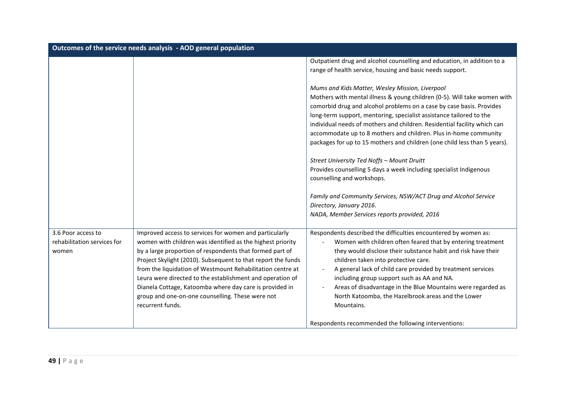| Outcomes of the service needs analysis - AOD general population |                                                                                                                                                                                                                                                                                                                                                                                                                                                                                                                |                                                                                                                                                                                                                                                                                                                                                                                                                                                                                                                                                                                                                                                           |
|-----------------------------------------------------------------|----------------------------------------------------------------------------------------------------------------------------------------------------------------------------------------------------------------------------------------------------------------------------------------------------------------------------------------------------------------------------------------------------------------------------------------------------------------------------------------------------------------|-----------------------------------------------------------------------------------------------------------------------------------------------------------------------------------------------------------------------------------------------------------------------------------------------------------------------------------------------------------------------------------------------------------------------------------------------------------------------------------------------------------------------------------------------------------------------------------------------------------------------------------------------------------|
|                                                                 |                                                                                                                                                                                                                                                                                                                                                                                                                                                                                                                | Outpatient drug and alcohol counselling and education, in addition to a<br>range of health service, housing and basic needs support.                                                                                                                                                                                                                                                                                                                                                                                                                                                                                                                      |
|                                                                 |                                                                                                                                                                                                                                                                                                                                                                                                                                                                                                                | Mums and Kids Matter, Wesley Mission, Liverpool<br>Mothers with mental illness & young children (0-5). Will take women with<br>comorbid drug and alcohol problems on a case by case basis. Provides<br>long-term support, mentoring, specialist assistance tailored to the<br>individual needs of mothers and children. Residential facility which can<br>accommodate up to 8 mothers and children. Plus in-home community<br>packages for up to 15 mothers and children (one child less than 5 years).<br>Street University Ted Noffs - Mount Druitt<br>Provides counselling 5 days a week including specialist Indigenous<br>counselling and workshops. |
|                                                                 |                                                                                                                                                                                                                                                                                                                                                                                                                                                                                                                | Family and Community Services, NSW/ACT Drug and Alcohol Service<br>Directory, January 2016.<br>NADA, Member Services reports provided, 2016                                                                                                                                                                                                                                                                                                                                                                                                                                                                                                               |
| 3.6 Poor access to<br>rehabilitation services for<br>women      | Improved access to services for women and particularly<br>women with children was identified as the highest priority<br>by a large proportion of respondents that formed part of<br>Project Skylight (2010). Subsequent to that report the funds<br>from the liquidation of Westmount Rehabilitation centre at<br>Leura were directed to the establishment and operation of<br>Dianela Cottage, Katoomba where day care is provided in<br>group and one-on-one counselling. These were not<br>recurrent funds. | Respondents described the difficulties encountered by women as:<br>Women with children often feared that by entering treatment<br>they would disclose their substance habit and risk have their<br>children taken into protective care.<br>A general lack of child care provided by treatment services<br>including group support such as AA and NA.<br>Areas of disadvantage in the Blue Mountains were regarded as<br>North Katoomba, the Hazelbrook areas and the Lower<br>Mountains.                                                                                                                                                                  |
|                                                                 |                                                                                                                                                                                                                                                                                                                                                                                                                                                                                                                | Respondents recommended the following interventions:                                                                                                                                                                                                                                                                                                                                                                                                                                                                                                                                                                                                      |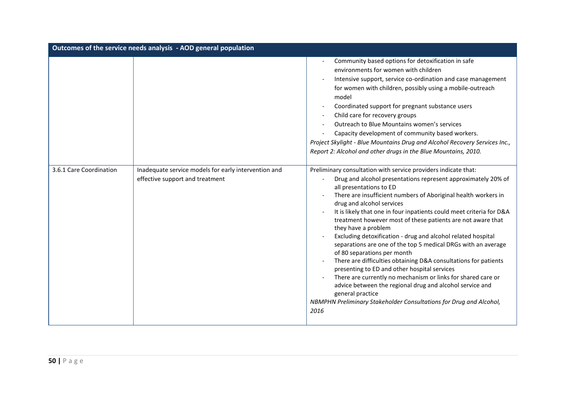| Outcomes of the service needs analysis - AOD general population |                                                                                         |                                                                                                                                                                                                                                                                                                                                                                                                                                                                                                                                                                                                                                                                                                                                                                                                                                                                                                                                          |
|-----------------------------------------------------------------|-----------------------------------------------------------------------------------------|------------------------------------------------------------------------------------------------------------------------------------------------------------------------------------------------------------------------------------------------------------------------------------------------------------------------------------------------------------------------------------------------------------------------------------------------------------------------------------------------------------------------------------------------------------------------------------------------------------------------------------------------------------------------------------------------------------------------------------------------------------------------------------------------------------------------------------------------------------------------------------------------------------------------------------------|
|                                                                 |                                                                                         | Community based options for detoxification in safe<br>environments for women with children<br>Intensive support, service co-ordination and case management<br>for women with children, possibly using a mobile-outreach<br>model<br>Coordinated support for pregnant substance users<br>Child care for recovery groups<br>Outreach to Blue Mountains women's services<br>Capacity development of community based workers.<br>Project Skylight - Blue Mountains Drug and Alcohol Recovery Services Inc.,<br>Report 2: Alcohol and other drugs in the Blue Mountains, 2010.                                                                                                                                                                                                                                                                                                                                                                |
| 3.6.1 Care Coordination                                         | Inadequate service models for early intervention and<br>effective support and treatment | Preliminary consultation with service providers indicate that:<br>Drug and alcohol presentations represent approximately 20% of<br>all presentations to ED<br>There are insufficient numbers of Aboriginal health workers in<br>drug and alcohol services<br>It is likely that one in four inpatients could meet criteria for D&A<br>treatment however most of these patients are not aware that<br>they have a problem<br>Excluding detoxification - drug and alcohol related hospital<br>separations are one of the top 5 medical DRGs with an average<br>of 80 separations per month<br>There are difficulties obtaining D&A consultations for patients<br>presenting to ED and other hospital services<br>There are currently no mechanism or links for shared care or<br>advice between the regional drug and alcohol service and<br>general practice<br>NBMPHN Preliminary Stakeholder Consultations for Drug and Alcohol,<br>2016 |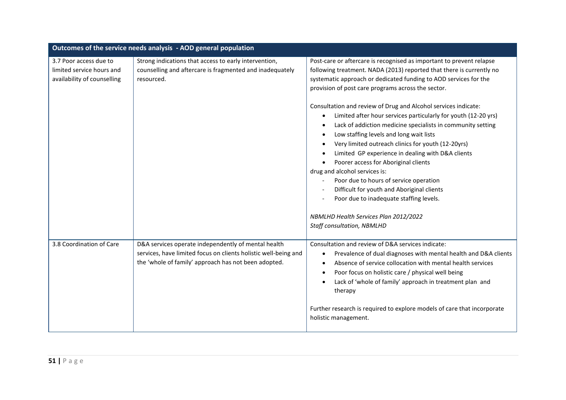| Outcomes of the service needs analysis - AOD general population                    |                                                                                                                                                                                |                                                                                                                                                                                                                                                                                                                                                                                                                                                                                                                                                                                                                                                                                                                                                                                                                                                                                                   |
|------------------------------------------------------------------------------------|--------------------------------------------------------------------------------------------------------------------------------------------------------------------------------|---------------------------------------------------------------------------------------------------------------------------------------------------------------------------------------------------------------------------------------------------------------------------------------------------------------------------------------------------------------------------------------------------------------------------------------------------------------------------------------------------------------------------------------------------------------------------------------------------------------------------------------------------------------------------------------------------------------------------------------------------------------------------------------------------------------------------------------------------------------------------------------------------|
| 3.7 Poor access due to<br>limited service hours and<br>availability of counselling | Strong indications that access to early intervention,<br>counselling and aftercare is fragmented and inadequately<br>resourced.                                                | Post-care or aftercare is recognised as important to prevent relapse<br>following treatment. NADA (2013) reported that there is currently no<br>systematic approach or dedicated funding to AOD services for the<br>provision of post care programs across the sector.<br>Consultation and review of Drug and Alcohol services indicate:<br>Limited after hour services particularly for youth (12-20 yrs)<br>$\bullet$<br>Lack of addiction medicine specialists in community setting<br>Low staffing levels and long wait lists<br>Very limited outreach clinics for youth (12-20yrs)<br>Limited GP experience in dealing with D&A clients<br>Poorer access for Aboriginal clients<br>drug and alcohol services is:<br>Poor due to hours of service operation<br>Difficult for youth and Aboriginal clients<br>Poor due to inadequate staffing levels.<br>NBMLHD Health Services Plan 2012/2022 |
| 3.8 Coordination of Care                                                           | D&A services operate independently of mental health<br>services, have limited focus on clients holistic well-being and<br>the 'whole of family' approach has not been adopted. | Staff consultation, NBMLHD<br>Consultation and review of D&A services indicate:<br>Prevalence of dual diagnoses with mental health and D&A clients<br>$\bullet$<br>Absence of service collocation with mental health services<br>Poor focus on holistic care / physical well being<br>Lack of 'whole of family' approach in treatment plan and<br>therapy<br>Further research is required to explore models of care that incorporate<br>holistic management.                                                                                                                                                                                                                                                                                                                                                                                                                                      |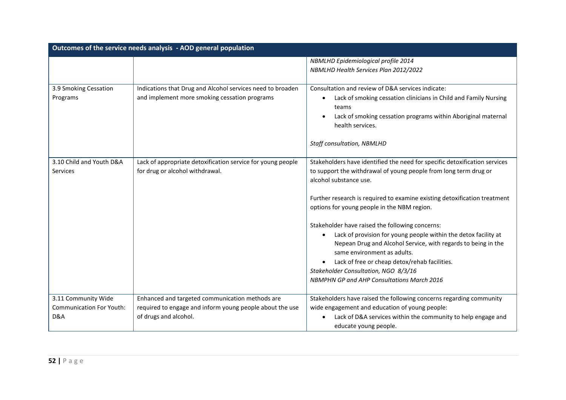|                                                               | Outcomes of the service needs analysis - AOD general population                                                                      |                                                                                                                                                                                                                                                                                                                                                                                                                                                                                                                                                                                                                                                                                       |
|---------------------------------------------------------------|--------------------------------------------------------------------------------------------------------------------------------------|---------------------------------------------------------------------------------------------------------------------------------------------------------------------------------------------------------------------------------------------------------------------------------------------------------------------------------------------------------------------------------------------------------------------------------------------------------------------------------------------------------------------------------------------------------------------------------------------------------------------------------------------------------------------------------------|
|                                                               |                                                                                                                                      | <b>NBMLHD Epidemiological profile 2014</b><br>NBMLHD Health Services Plan 2012/2022                                                                                                                                                                                                                                                                                                                                                                                                                                                                                                                                                                                                   |
| 3.9 Smoking Cessation<br>Programs                             | Indications that Drug and Alcohol services need to broaden<br>and implement more smoking cessation programs                          | Consultation and review of D&A services indicate:<br>Lack of smoking cessation clinicians in Child and Family Nursing<br>teams<br>Lack of smoking cessation programs within Aboriginal maternal<br>health services.<br><b>Staff consultation, NBMLHD</b>                                                                                                                                                                                                                                                                                                                                                                                                                              |
| 3.10 Child and Youth D&A<br>Services                          | Lack of appropriate detoxification service for young people<br>for drug or alcohol withdrawal.                                       | Stakeholders have identified the need for specific detoxification services<br>to support the withdrawal of young people from long term drug or<br>alcohol substance use.<br>Further research is required to examine existing detoxification treatment<br>options for young people in the NBM region.<br>Stakeholder have raised the following concerns:<br>Lack of provision for young people within the detox facility at<br>$\bullet$<br>Nepean Drug and Alcohol Service, with regards to being in the<br>same environment as adults.<br>Lack of free or cheap detox/rehab facilities.<br>Stakeholder Consultation, NGO 8/3/16<br><b>NBMPHN GP and AHP Consultations March 2016</b> |
| 3.11 Community Wide<br><b>Communication For Youth:</b><br>D&A | Enhanced and targeted communication methods are<br>required to engage and inform young people about the use<br>of drugs and alcohol. | Stakeholders have raised the following concerns regarding community<br>wide engagement and education of young people:<br>Lack of D&A services within the community to help engage and<br>educate young people.                                                                                                                                                                                                                                                                                                                                                                                                                                                                        |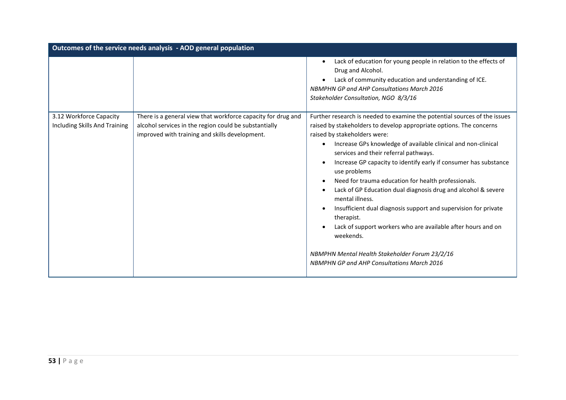| Outcomes of the service needs analysis - AOD general population |                                                                                                                                                                         |                                                                                                                                                                                                                                                                                                                                                                                                                                                                                                                                                                                                                                                                                                                                                                                                |
|-----------------------------------------------------------------|-------------------------------------------------------------------------------------------------------------------------------------------------------------------------|------------------------------------------------------------------------------------------------------------------------------------------------------------------------------------------------------------------------------------------------------------------------------------------------------------------------------------------------------------------------------------------------------------------------------------------------------------------------------------------------------------------------------------------------------------------------------------------------------------------------------------------------------------------------------------------------------------------------------------------------------------------------------------------------|
|                                                                 |                                                                                                                                                                         | Lack of education for young people in relation to the effects of<br>Drug and Alcohol.<br>Lack of community education and understanding of ICE.<br><b>NBMPHN GP and AHP Consultations March 2016</b><br>Stakeholder Consultation, NGO 8/3/16                                                                                                                                                                                                                                                                                                                                                                                                                                                                                                                                                    |
| 3.12 Workforce Capacity<br>Including Skills And Training        | There is a general view that workforce capacity for drug and<br>alcohol services in the region could be substantially<br>improved with training and skills development. | Further research is needed to examine the potential sources of the issues<br>raised by stakeholders to develop appropriate options. The concerns<br>raised by stakeholders were:<br>Increase GPs knowledge of available clinical and non-clinical<br>services and their referral pathways.<br>Increase GP capacity to identify early if consumer has substance<br>use problems<br>Need for trauma education for health professionals.<br>Lack of GP Education dual diagnosis drug and alcohol & severe<br>mental illness.<br>Insufficient dual diagnosis support and supervision for private<br>therapist.<br>Lack of support workers who are available after hours and on<br>weekends.<br>NBMPHN Mental Health Stakeholder Forum 23/2/16<br><b>NBMPHN GP and AHP Consultations March 2016</b> |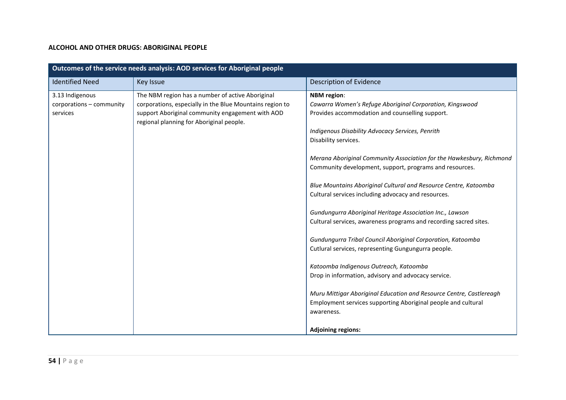#### **ALCOHOL AND OTHER DRUGS: ABORIGINAL PEOPLE**

| Outcomes of the service needs analysis: AOD services for Aboriginal people |                                                                                                                                                                                                              |                                                                                                                                                                                                                                                                                                                                                                                                                                                                                                                                                                                                                                                                                                                                                                                                                                                                                                                                                                                           |  |
|----------------------------------------------------------------------------|--------------------------------------------------------------------------------------------------------------------------------------------------------------------------------------------------------------|-------------------------------------------------------------------------------------------------------------------------------------------------------------------------------------------------------------------------------------------------------------------------------------------------------------------------------------------------------------------------------------------------------------------------------------------------------------------------------------------------------------------------------------------------------------------------------------------------------------------------------------------------------------------------------------------------------------------------------------------------------------------------------------------------------------------------------------------------------------------------------------------------------------------------------------------------------------------------------------------|--|
| <b>Identified Need</b>                                                     | Key Issue                                                                                                                                                                                                    | Description of Evidence                                                                                                                                                                                                                                                                                                                                                                                                                                                                                                                                                                                                                                                                                                                                                                                                                                                                                                                                                                   |  |
| 3.13 Indigenous<br>corporations - community<br>services                    | The NBM region has a number of active Aboriginal<br>corporations, especially in the Blue Mountains region to<br>support Aboriginal community engagement with AOD<br>regional planning for Aboriginal people. | <b>NBM</b> region:<br>Cawarra Women's Refuge Aboriginal Corporation, Kingswood<br>Provides accommodation and counselling support.<br>Indigenous Disability Advocacy Services, Penrith<br>Disability services.<br>Merana Aboriginal Community Association for the Hawkesbury, Richmond<br>Community development, support, programs and resources.<br>Blue Mountains Aboriginal Cultural and Resource Centre, Katoomba<br>Cultural services including advocacy and resources.<br>Gundungurra Aboriginal Heritage Association Inc., Lawson<br>Cultural services, awareness programs and recording sacred sites.<br>Gundungurra Tribal Council Aboriginal Corporation, Katoomba<br>Cutlural services, representing Gungungurra people.<br>Katoomba Indigenous Outreach, Katoomba<br>Drop in information, advisory and advocacy service.<br>Muru Mittigar Aboriginal Education and Resource Centre, Castlereagh<br>Employment services supporting Aboriginal people and cultural<br>awareness. |  |
|                                                                            |                                                                                                                                                                                                              | <b>Adjoining regions:</b>                                                                                                                                                                                                                                                                                                                                                                                                                                                                                                                                                                                                                                                                                                                                                                                                                                                                                                                                                                 |  |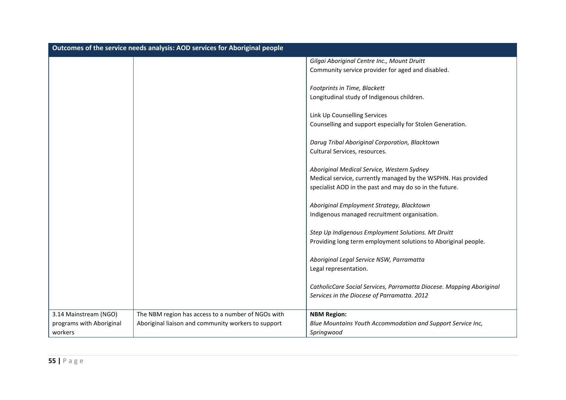| Outcomes of the service needs analysis: AOD services for Aboriginal people |                                                     |                                                                      |
|----------------------------------------------------------------------------|-----------------------------------------------------|----------------------------------------------------------------------|
|                                                                            |                                                     | Gilgai Aboriginal Centre Inc., Mount Druitt                          |
|                                                                            |                                                     | Community service provider for aged and disabled.                    |
|                                                                            |                                                     | Footprints in Time, Blackett                                         |
|                                                                            |                                                     | Longitudinal study of Indigenous children.                           |
|                                                                            |                                                     | Link Up Counselling Services                                         |
|                                                                            |                                                     | Counselling and support especially for Stolen Generation.            |
|                                                                            |                                                     | Darug Tribal Aboriginal Corporation, Blacktown                       |
|                                                                            |                                                     | Cultural Services, resources.                                        |
|                                                                            |                                                     | Aboriginal Medical Service, Western Sydney                           |
|                                                                            |                                                     | Medical service, currently managed by the WSPHN. Has provided        |
|                                                                            |                                                     | specialist AOD in the past and may do so in the future.              |
|                                                                            |                                                     | Aboriginal Employment Strategy, Blacktown                            |
|                                                                            |                                                     | Indigenous managed recruitment organisation.                         |
|                                                                            |                                                     | Step Up Indigenous Employment Solutions. Mt Druitt                   |
|                                                                            |                                                     | Providing long term employment solutions to Aboriginal people.       |
|                                                                            |                                                     | Aboriginal Legal Service NSW, Parramatta                             |
|                                                                            |                                                     | Legal representation.                                                |
|                                                                            |                                                     | CatholicCare Social Services, Parramatta Diocese. Mapping Aboriginal |
|                                                                            |                                                     | Services in the Diocese of Parramatta. 2012                          |
| 3.14 Mainstream (NGO)                                                      | The NBM region has access to a number of NGOs with  | <b>NBM Region:</b>                                                   |
| programs with Aboriginal                                                   | Aboriginal liaison and community workers to support | Blue Mountains Youth Accommodation and Support Service Inc,          |
| workers                                                                    |                                                     | Springwood                                                           |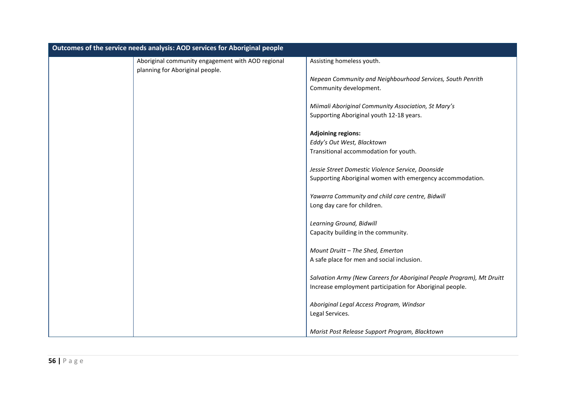| Outcomes of the service needs analysis: AOD services for Aboriginal people |                                                   |                                                                       |
|----------------------------------------------------------------------------|---------------------------------------------------|-----------------------------------------------------------------------|
|                                                                            | Aboriginal community engagement with AOD regional | Assisting homeless youth.                                             |
|                                                                            | planning for Aboriginal people.                   |                                                                       |
|                                                                            |                                                   | Nepean Community and Neighbourhood Services, South Penrith            |
|                                                                            |                                                   | Community development.                                                |
|                                                                            |                                                   | Miimali Aboriginal Community Association, St Mary's                   |
|                                                                            |                                                   | Supporting Aboriginal youth 12-18 years.                              |
|                                                                            |                                                   | <b>Adjoining regions:</b>                                             |
|                                                                            |                                                   | Eddy's Out West, Blacktown                                            |
|                                                                            |                                                   | Transitional accommodation for youth.                                 |
|                                                                            |                                                   | Jessie Street Domestic Violence Service, Doonside                     |
|                                                                            |                                                   | Supporting Aboriginal women with emergency accommodation.             |
|                                                                            |                                                   | Yawarra Community and child care centre, Bidwill                      |
|                                                                            |                                                   | Long day care for children.                                           |
|                                                                            |                                                   | Learning Ground, Bidwill                                              |
|                                                                            |                                                   | Capacity building in the community.                                   |
|                                                                            |                                                   | Mount Druitt - The Shed, Emerton                                      |
|                                                                            |                                                   | A safe place for men and social inclusion.                            |
|                                                                            |                                                   | Salvation Army (New Careers for Aboriginal People Program), Mt Druitt |
|                                                                            |                                                   | Increase employment participation for Aboriginal people.              |
|                                                                            |                                                   | Aboriginal Legal Access Program, Windsor                              |
|                                                                            |                                                   | Legal Services.                                                       |
|                                                                            |                                                   | Marist Post Release Support Program, Blacktown                        |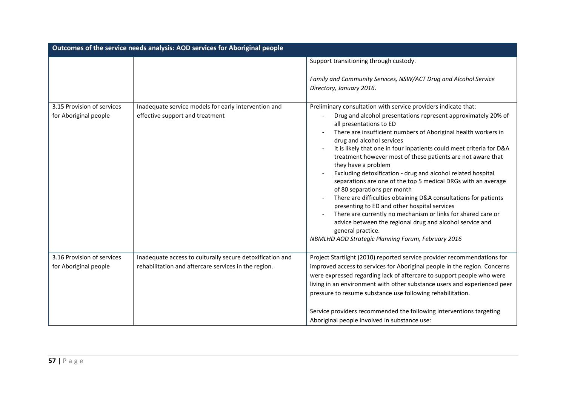| Outcomes of the service needs analysis: AOD services for Aboriginal people |                                                                                                                   |                                                                                                                                                                                                                                                                                                                                                                                                                                                                                                                                                                                                                                                                                                                                                                                                                                                                                                                   |
|----------------------------------------------------------------------------|-------------------------------------------------------------------------------------------------------------------|-------------------------------------------------------------------------------------------------------------------------------------------------------------------------------------------------------------------------------------------------------------------------------------------------------------------------------------------------------------------------------------------------------------------------------------------------------------------------------------------------------------------------------------------------------------------------------------------------------------------------------------------------------------------------------------------------------------------------------------------------------------------------------------------------------------------------------------------------------------------------------------------------------------------|
|                                                                            |                                                                                                                   | Support transitioning through custody.<br>Family and Community Services, NSW/ACT Drug and Alcohol Service<br>Directory, January 2016.                                                                                                                                                                                                                                                                                                                                                                                                                                                                                                                                                                                                                                                                                                                                                                             |
| 3.15 Provision of services<br>for Aboriginal people                        | Inadequate service models for early intervention and<br>effective support and treatment                           | Preliminary consultation with service providers indicate that:<br>Drug and alcohol presentations represent approximately 20% of<br>all presentations to ED<br>There are insufficient numbers of Aboriginal health workers in<br>drug and alcohol services<br>It is likely that one in four inpatients could meet criteria for D&A<br>treatment however most of these patients are not aware that<br>they have a problem<br>Excluding detoxification - drug and alcohol related hospital<br>separations are one of the top 5 medical DRGs with an average<br>of 80 separations per month<br>There are difficulties obtaining D&A consultations for patients<br>presenting to ED and other hospital services<br>There are currently no mechanism or links for shared care or<br>advice between the regional drug and alcohol service and<br>general practice.<br>NBMLHD AOD Strategic Planning Forum, February 2016 |
| 3.16 Provision of services<br>for Aboriginal people                        | Inadequate access to culturally secure detoxification and<br>rehabilitation and aftercare services in the region. | Project Startlight (2010) reported service provider recommendations for<br>improved access to services for Aboriginal people in the region. Concerns<br>were expressed regarding lack of aftercare to support people who were<br>living in an environment with other substance users and experienced peer<br>pressure to resume substance use following rehabilitation.<br>Service providers recommended the following interventions targeting<br>Aboriginal people involved in substance use:                                                                                                                                                                                                                                                                                                                                                                                                                    |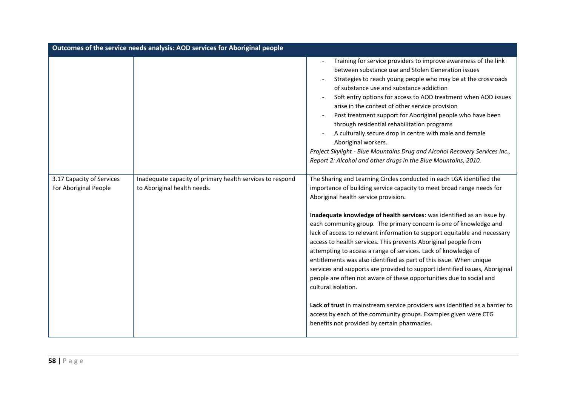| Outcomes of the service needs analysis: AOD services for Aboriginal people |                                                                                          |                                                                                                                                                                                                                                                                                                                                                                                                                                                                                                                                                                                                                                                                                                                                                                                                                                                                                                                                                                                                                |
|----------------------------------------------------------------------------|------------------------------------------------------------------------------------------|----------------------------------------------------------------------------------------------------------------------------------------------------------------------------------------------------------------------------------------------------------------------------------------------------------------------------------------------------------------------------------------------------------------------------------------------------------------------------------------------------------------------------------------------------------------------------------------------------------------------------------------------------------------------------------------------------------------------------------------------------------------------------------------------------------------------------------------------------------------------------------------------------------------------------------------------------------------------------------------------------------------|
|                                                                            |                                                                                          | Training for service providers to improve awareness of the link<br>between substance use and Stolen Generation issues<br>Strategies to reach young people who may be at the crossroads<br>of substance use and substance addiction<br>Soft entry options for access to AOD treatment when AOD issues<br>arise in the context of other service provision<br>Post treatment support for Aboriginal people who have been<br>through residential rehabilitation programs<br>A culturally secure drop in centre with male and female<br>Aboriginal workers.<br>Project Skylight - Blue Mountains Drug and Alcohol Recovery Services Inc.,<br>Report 2: Alcohol and other drugs in the Blue Mountains, 2010.                                                                                                                                                                                                                                                                                                         |
| 3.17 Capacity of Services<br>For Aboriginal People                         | Inadequate capacity of primary health services to respond<br>to Aboriginal health needs. | The Sharing and Learning Circles conducted in each LGA identified the<br>importance of building service capacity to meet broad range needs for<br>Aboriginal health service provision.<br>Inadequate knowledge of health services: was identified as an issue by<br>each community group. The primary concern is one of knowledge and<br>lack of access to relevant information to support equitable and necessary<br>access to health services. This prevents Aboriginal people from<br>attempting to access a range of services. Lack of knowledge of<br>entitlements was also identified as part of this issue. When unique<br>services and supports are provided to support identified issues, Aboriginal<br>people are often not aware of these opportunities due to social and<br>cultural isolation.<br>Lack of trust in mainstream service providers was identified as a barrier to<br>access by each of the community groups. Examples given were CTG<br>benefits not provided by certain pharmacies. |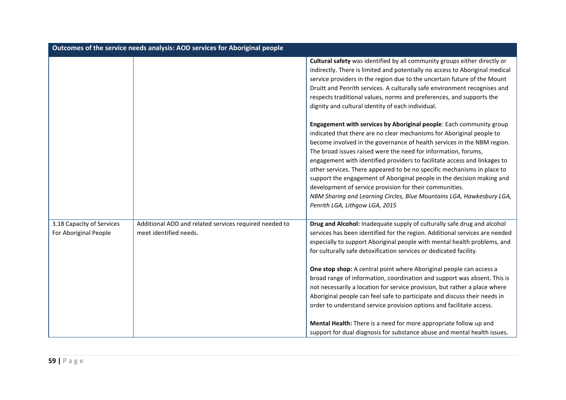| Outcomes of the service needs analysis: AOD services for Aboriginal people |                                                                                  |                                                                                                                                                                                                                                                                                                                                                                                                                                                                                                                                                                                                                                                                            |
|----------------------------------------------------------------------------|----------------------------------------------------------------------------------|----------------------------------------------------------------------------------------------------------------------------------------------------------------------------------------------------------------------------------------------------------------------------------------------------------------------------------------------------------------------------------------------------------------------------------------------------------------------------------------------------------------------------------------------------------------------------------------------------------------------------------------------------------------------------|
|                                                                            |                                                                                  | Cultural safety was identified by all community groups either directly or<br>indirectly. There is limited and potentially no access to Aboriginal medical<br>service providers in the region due to the uncertain future of the Mount<br>Druitt and Penrith services. A culturally safe environment recognises and<br>respects traditional values, norms and preferences, and supports the<br>dignity and cultural identity of each individual.<br>Engagement with services by Aboriginal people: Each community group<br>indicated that there are no clear mechanisms for Aboriginal people to<br>become involved in the governance of health services in the NBM region. |
|                                                                            |                                                                                  | The broad issues raised were the need for information, forums,<br>engagement with identified providers to facilitate access and linkages to<br>other services. There appeared to be no specific mechanisms in place to<br>support the engagement of Aboriginal people in the decision making and<br>development of service provision for their communities.<br>NBM Sharing and Learning Circles, Blue Mountains LGA, Hawkesbury LGA,<br>Penrith LGA, Lithgow LGA, 2015                                                                                                                                                                                                     |
| 3.18 Capacity of Services<br>For Aboriginal People                         | Additional AOD and related services required needed to<br>meet identified needs. | Drug and Alcohol: Inadequate supply of culturally safe drug and alcohol<br>services has been identified for the region. Additional services are needed<br>especially to support Aboriginal people with mental health problems, and<br>for culturally safe detoxification services or dedicated facility.<br>One stop shop: A central point where Aboriginal people can access a<br>broad range of information, coordination and support was absent. This is<br>not necessarily a location for service provision, but rather a place where<br>Aboriginal people can feel safe to participate and discuss their needs in                                                     |
|                                                                            |                                                                                  | order to understand service provision options and facilitate access.<br>Mental Health: There is a need for more appropriate follow up and<br>support for dual diagnosis for substance abuse and mental health issues.                                                                                                                                                                                                                                                                                                                                                                                                                                                      |